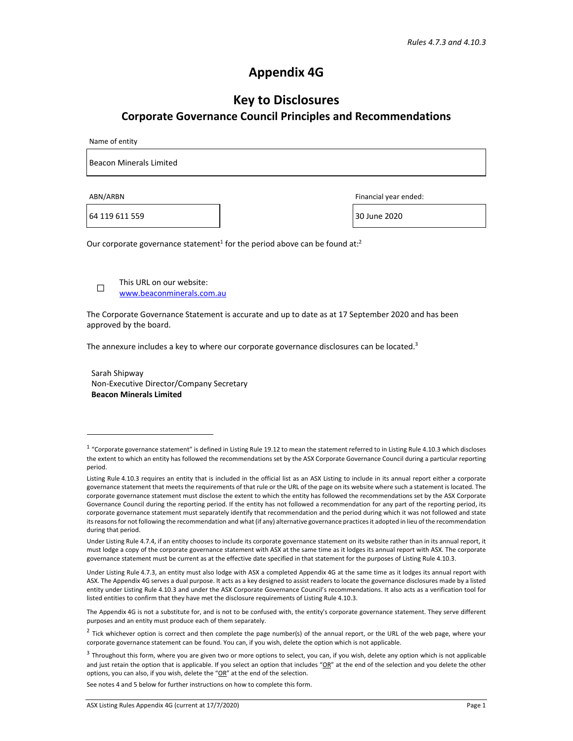## **Appendix 4G**

# **Key to Disclosures**

### **Corporate Governance Council Principles and Recommendations**

| Name of entity          |  |
|-------------------------|--|
| Beacon Minerals Limited |  |

64 119 611 559 30 June 2020

ABN/ARBN **BENGARBN Financial year ended:** 

Our corporate governance statement<sup>1</sup> for the period above can be found at:<sup>2</sup>

This URL on our website: www.beaconminerals.com.au

The Corporate Governance Statement is accurate and up to date as at 17 September 2020 and has been approved by the board.

The annexure includes a key to where our corporate governance disclosures can be located.<sup>3</sup>

Sarah Shipway Non‐Executive Director/Company Secretary **Beacon Minerals Limited**

The Appendix 4G is not a substitute for, and is not to be confused with, the entity's corporate governance statement. They serve different purposes and an entity must produce each of them separately.

See notes 4 and 5 below for further instructions on how to complete this form.

 $1$  "Corporate governance statement" is defined in Listing Rule 19.12 to mean the statement referred to in Listing Rule 4.10.3 which discloses the extent to which an entity has followed the recommendations set by the ASX Corporate Governance Council during a particular reporting period.

Listing Rule 4.10.3 requires an entity that is included in the official list as an ASX Listing to include in its annual report either a corporate governance statement that meets the requirements of that rule or the URL of the page on its website where such a statement is located. The corporate governance statement must disclose the extent to which the entity has followed the recommendations set by the ASX Corporate Governance Council during the reporting period. If the entity has not followed a recommendation for any part of the reporting period, its corporate governance statement must separately identify that recommendation and the period during which it was not followed and state its reasons for not following the recommendation and what (if any) alternative governance practices it adopted in lieu of the recommendation during that period.

Under Listing Rule 4.7.4, if an entity chooses to include its corporate governance statement on its website rather than in its annual report, it must lodge a copy of the corporate governance statement with ASX at the same time as it lodges its annual report with ASX. The corporate governance statement must be current as at the effective date specified in that statement for the purposes of Listing Rule 4.10.3.

Under Listing Rule 4.7.3, an entity must also lodge with ASX a completed Appendix 4G at the same time as it lodges its annual report with ASX. The Appendix 4G serves a dual purpose. It acts as a key designed to assist readers to locate the governance disclosures made by a listed entity under Listing Rule 4.10.3 and under the ASX Corporate Governance Council's recommendations. It also acts as a verification tool for listed entities to confirm that they have met the disclosure requirements of Listing Rule 4.10.3.

 $2$  Tick whichever option is correct and then complete the page number(s) of the annual report, or the URL of the web page, where your corporate governance statement can be found. You can, if you wish, delete the option which is not applicable.

 $3$  Throughout this form, where you are given two or more options to select, you can, if you wish, delete any option which is not applicable and just retain the option that is applicable. If you select an option that includes " $\under{OR}$ " at the end of the selection and you delete the other options, you can also, if you wish, delete the "OR" at the end of the selection.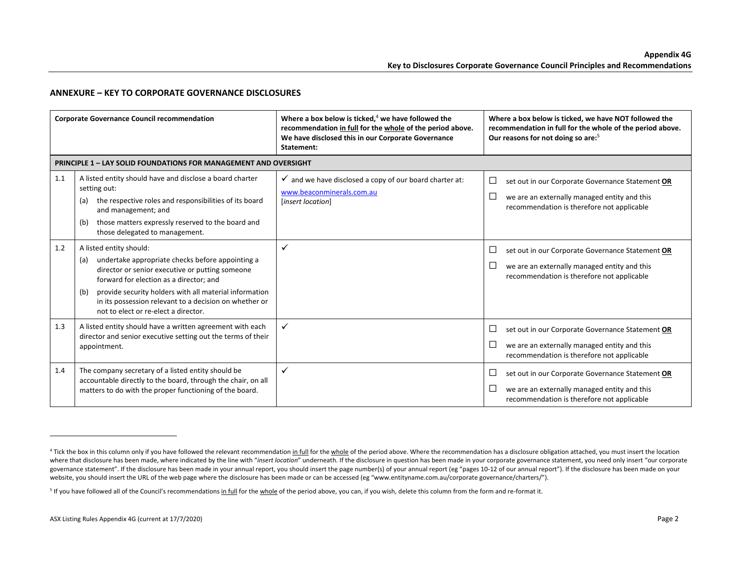#### **ANNEXURE – KEY TO CORPORATE GOVERNANCE DISCLOSURES**

|     | <b>Corporate Governance Council recommendation</b>                                                                                                                                                                                                                                                                                                  | Where a box below is ticked, $4$ we have followed the<br>recommendation in full for the whole of the period above.<br>We have disclosed this in our Corporate Governance<br>Statement: | Where a box below is ticked, we have NOT followed the<br>recommendation in full for the whole of the period above.<br>Our reasons for not doing so are: <sup>5</sup> |
|-----|-----------------------------------------------------------------------------------------------------------------------------------------------------------------------------------------------------------------------------------------------------------------------------------------------------------------------------------------------------|----------------------------------------------------------------------------------------------------------------------------------------------------------------------------------------|----------------------------------------------------------------------------------------------------------------------------------------------------------------------|
|     | <b>PRINCIPLE 1 - LAY SOLID FOUNDATIONS FOR MANAGEMENT AND OVERSIGHT</b>                                                                                                                                                                                                                                                                             |                                                                                                                                                                                        |                                                                                                                                                                      |
| 1.1 | A listed entity should have and disclose a board charter<br>setting out:<br>the respective roles and responsibilities of its board<br>(a)<br>and management; and<br>those matters expressly reserved to the board and<br>(b)<br>those delegated to management.                                                                                      | $\checkmark$ and we have disclosed a copy of our board charter at:<br>www.beaconminerals.com.au<br>[insert location]                                                                   | □<br>set out in our Corporate Governance Statement OR<br>$\Box$<br>we are an externally managed entity and this<br>recommendation is therefore not applicable        |
| 1.2 | A listed entity should:<br>undertake appropriate checks before appointing a<br>(a)<br>director or senior executive or putting someone<br>forward for election as a director; and<br>provide security holders with all material information<br>(b)<br>in its possession relevant to a decision on whether or<br>not to elect or re-elect a director. | ✓                                                                                                                                                                                      | $\Box$<br>set out in our Corporate Governance Statement OR<br>$\Box$<br>we are an externally managed entity and this<br>recommendation is therefore not applicable   |
| 1.3 | A listed entity should have a written agreement with each<br>director and senior executive setting out the terms of their<br>appointment.                                                                                                                                                                                                           | ✓                                                                                                                                                                                      | $\Box$<br>set out in our Corporate Governance Statement OR<br>$\Box$<br>we are an externally managed entity and this<br>recommendation is therefore not applicable   |
| 1.4 | The company secretary of a listed entity should be<br>accountable directly to the board, through the chair, on all<br>matters to do with the proper functioning of the board.                                                                                                                                                                       | ✓                                                                                                                                                                                      | ⊔<br>set out in our Corporate Governance Statement OR<br>$\Box$<br>we are an externally managed entity and this<br>recommendation is therefore not applicable        |

<sup>&</sup>lt;sup>4</sup> Tick the box in this column only if you have followed the relevant recommendation in full for the whole of the period above. Where the recommendation has a disclosure obligation attached, you must insert the location where that disclosure has been made, where indicated by the line with "insert location" underneath. If the disclosure in question has been made in your corporate governance statement, you need only insert "our corporate governance statement". If the disclosure has been made in your annual report, you should insert the page number(s) of your annual report (eg "pages 10-12 of our annual report"). If the disclosure has been made on your website, you should insert the URL of the web page where the disclosure has been made or can be accessed (eg "www.entityname.com.au/corporate governance/charters/").

<sup>&</sup>lt;sup>5</sup> If you have followed all of the Council's recommendations <u>in full</u> for the <u>whole</u> of the period above, you can, if you wish, delete this column from the form and re‐format it.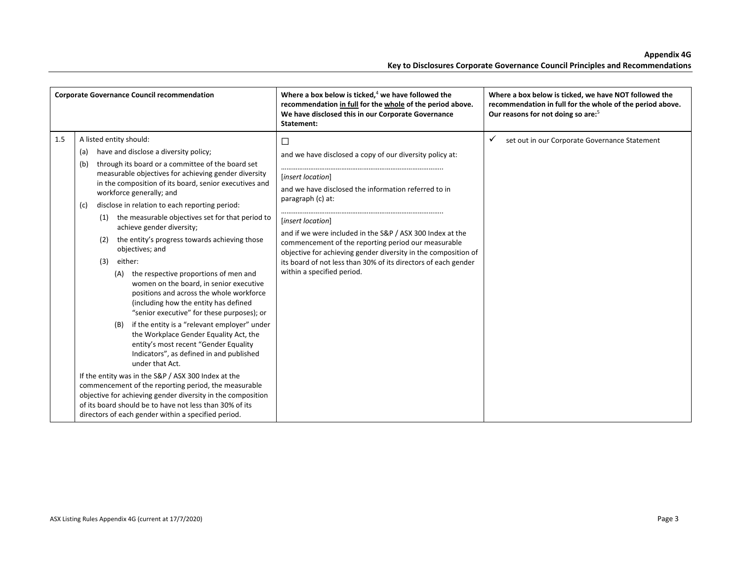|     | <b>Corporate Governance Council recommendation</b>                                                                                                                                                                                                                                                                                                                                                                                                                                                                                                                                                                                                                                                                                                                                                                                                                                                                                                                                                                                                                                                                                                                                                                                                                     | Where a box below is ticked, $4$ we have followed the<br>recommendation in full for the whole of the period above.<br>We have disclosed this in our Corporate Governance<br>Statement:                                                                                                                                                                                                                                                                                          | Where a box below is ticked, we have NOT followed the<br>recommendation in full for the whole of the period above.<br>Our reasons for not doing so are: <sup>5</sup> |
|-----|------------------------------------------------------------------------------------------------------------------------------------------------------------------------------------------------------------------------------------------------------------------------------------------------------------------------------------------------------------------------------------------------------------------------------------------------------------------------------------------------------------------------------------------------------------------------------------------------------------------------------------------------------------------------------------------------------------------------------------------------------------------------------------------------------------------------------------------------------------------------------------------------------------------------------------------------------------------------------------------------------------------------------------------------------------------------------------------------------------------------------------------------------------------------------------------------------------------------------------------------------------------------|---------------------------------------------------------------------------------------------------------------------------------------------------------------------------------------------------------------------------------------------------------------------------------------------------------------------------------------------------------------------------------------------------------------------------------------------------------------------------------|----------------------------------------------------------------------------------------------------------------------------------------------------------------------|
| 1.5 | A listed entity should:<br>have and disclose a diversity policy;<br>(a)<br>through its board or a committee of the board set<br>(b)<br>measurable objectives for achieving gender diversity<br>in the composition of its board, senior executives and<br>workforce generally; and<br>disclose in relation to each reporting period:<br>(c)<br>the measurable objectives set for that period to<br>(1)<br>achieve gender diversity;<br>the entity's progress towards achieving those<br>(2)<br>objectives; and<br>either:<br>(3)<br>the respective proportions of men and<br>(A)<br>women on the board, in senior executive<br>positions and across the whole workforce<br>(including how the entity has defined<br>"senior executive" for these purposes); or<br>if the entity is a "relevant employer" under<br>(B)<br>the Workplace Gender Equality Act, the<br>entity's most recent "Gender Equality<br>Indicators", as defined in and published<br>under that Act.<br>If the entity was in the S&P / ASX 300 Index at the<br>commencement of the reporting period, the measurable<br>objective for achieving gender diversity in the composition<br>of its board should be to have not less than 30% of its<br>directors of each gender within a specified period. | $\Box$<br>and we have disclosed a copy of our diversity policy at:<br>[insert location]<br>and we have disclosed the information referred to in<br>paragraph (c) at:<br>linsert location]<br>and if we were included in the S&P / ASX 300 Index at the<br>commencement of the reporting period our measurable<br>objective for achieving gender diversity in the composition of<br>its board of not less than 30% of its directors of each gender<br>within a specified period. | ✓<br>set out in our Corporate Governance Statement                                                                                                                   |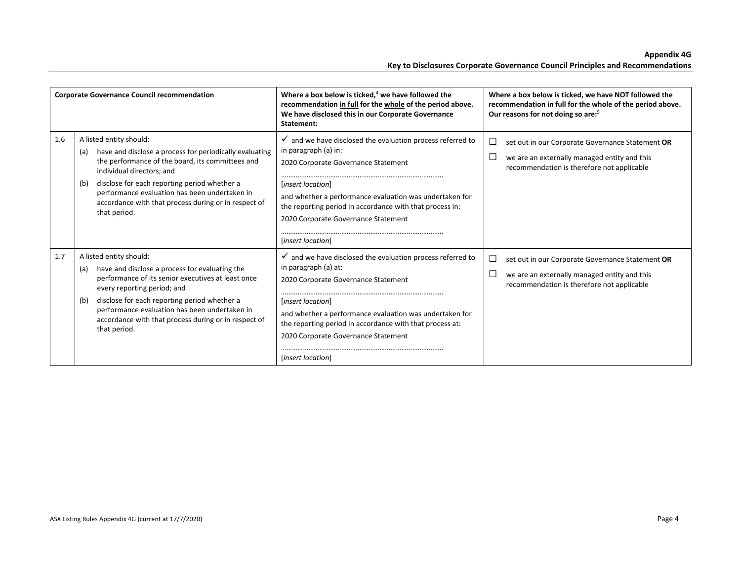|     | <b>Corporate Governance Council recommendation</b>                                                                                                                                                                                                                                                                                                         | Where a box below is ticked, $4$ we have followed the<br>recommendation in full for the whole of the period above.<br>We have disclosed this in our Corporate Governance<br>Statement:                                                                                                                                                             | Where a box below is ticked, we have NOT followed the<br>recommendation in full for the whole of the period above.<br>Our reasons for not doing so are: <sup>5</sup> |
|-----|------------------------------------------------------------------------------------------------------------------------------------------------------------------------------------------------------------------------------------------------------------------------------------------------------------------------------------------------------------|----------------------------------------------------------------------------------------------------------------------------------------------------------------------------------------------------------------------------------------------------------------------------------------------------------------------------------------------------|----------------------------------------------------------------------------------------------------------------------------------------------------------------------|
| 1.6 | A listed entity should:<br>have and disclose a process for periodically evaluating<br>(a)<br>the performance of the board, its committees and<br>individual directors; and<br>disclose for each reporting period whether a<br>(b)<br>performance evaluation has been undertaken in<br>accordance with that process during or in respect of<br>that period. | $\checkmark$ and we have disclosed the evaluation process referred to<br>in paragraph (a) in:<br>2020 Corporate Governance Statement<br><i>linsert location</i><br>and whether a performance evaluation was undertaken for<br>the reporting period in accordance with that process in:<br>2020 Corporate Governance Statement<br>[insert location] | □<br>set out in our Corporate Governance Statement OR<br>$\Box$<br>we are an externally managed entity and this<br>recommendation is therefore not applicable        |
| 1.7 | A listed entity should:<br>have and disclose a process for evaluating the<br>(a)<br>performance of its senior executives at least once<br>every reporting period; and<br>disclose for each reporting period whether a<br>(b)<br>performance evaluation has been undertaken in<br>accordance with that process during or in respect of<br>that period.      | $\checkmark$ and we have disclosed the evaluation process referred to<br>in paragraph (a) at:<br>2020 Corporate Governance Statement<br>[insert location]<br>and whether a performance evaluation was undertaken for<br>the reporting period in accordance with that process at:<br>2020 Corporate Governance Statement<br>[insert location]       | □<br>set out in our Corporate Governance Statement OR<br>$\Box$<br>we are an externally managed entity and this<br>recommendation is therefore not applicable        |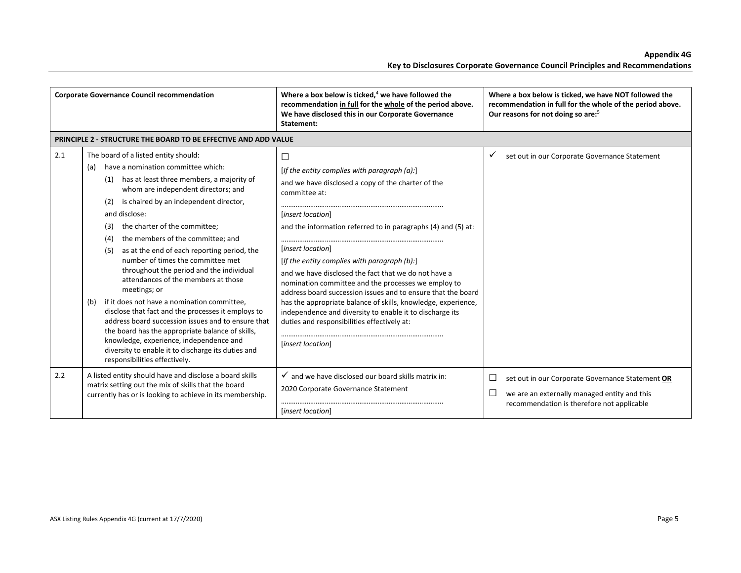|     | <b>Corporate Governance Council recommendation</b>                                                                                                                                                                                                                                                                                                                                                                                                                                                                                                                                                                                                                                                                                                                                                                                                                                       | Where a box below is ticked, $4$ we have followed the<br>recommendation in full for the whole of the period above.<br>We have disclosed this in our Corporate Governance<br>Statement:                                                                                                                                                                                                                                                                                                                                                                                                                                                                                    | Where a box below is ticked, we have NOT followed the<br>recommendation in full for the whole of the period above.<br>Our reasons for not doing so are: <sup>5</sup> |
|-----|------------------------------------------------------------------------------------------------------------------------------------------------------------------------------------------------------------------------------------------------------------------------------------------------------------------------------------------------------------------------------------------------------------------------------------------------------------------------------------------------------------------------------------------------------------------------------------------------------------------------------------------------------------------------------------------------------------------------------------------------------------------------------------------------------------------------------------------------------------------------------------------|---------------------------------------------------------------------------------------------------------------------------------------------------------------------------------------------------------------------------------------------------------------------------------------------------------------------------------------------------------------------------------------------------------------------------------------------------------------------------------------------------------------------------------------------------------------------------------------------------------------------------------------------------------------------------|----------------------------------------------------------------------------------------------------------------------------------------------------------------------|
|     | PRINCIPLE 2 - STRUCTURE THE BOARD TO BE EFFECTIVE AND ADD VALUE                                                                                                                                                                                                                                                                                                                                                                                                                                                                                                                                                                                                                                                                                                                                                                                                                          |                                                                                                                                                                                                                                                                                                                                                                                                                                                                                                                                                                                                                                                                           |                                                                                                                                                                      |
| 2.1 | The board of a listed entity should:<br>have a nomination committee which:<br>(a)<br>has at least three members, a majority of<br>(1)<br>whom are independent directors; and<br>is chaired by an independent director,<br>(2)<br>and disclose:<br>the charter of the committee;<br>(3)<br>the members of the committee; and<br>(4)<br>as at the end of each reporting period, the<br>(5)<br>number of times the committee met<br>throughout the period and the individual<br>attendances of the members at those<br>meetings; or<br>if it does not have a nomination committee,<br>(b)<br>disclose that fact and the processes it employs to<br>address board succession issues and to ensure that<br>the board has the appropriate balance of skills,<br>knowledge, experience, independence and<br>diversity to enable it to discharge its duties and<br>responsibilities effectively. | П<br>[If the entity complies with paragraph $(a)$ :]<br>and we have disclosed a copy of the charter of the<br>committee at:<br>[insert location]<br>and the information referred to in paragraphs (4) and (5) at:<br>[insert location]<br>[If the entity complies with paragraph $(b)$ :]<br>and we have disclosed the fact that we do not have a<br>nomination committee and the processes we employ to<br>address board succession issues and to ensure that the board<br>has the appropriate balance of skills, knowledge, experience,<br>independence and diversity to enable it to discharge its<br>duties and responsibilities effectively at:<br>[insert location] | ✓<br>set out in our Corporate Governance Statement                                                                                                                   |
| 2.2 | A listed entity should have and disclose a board skills<br>matrix setting out the mix of skills that the board<br>currently has or is looking to achieve in its membership.                                                                                                                                                                                                                                                                                                                                                                                                                                                                                                                                                                                                                                                                                                              | $\checkmark$ and we have disclosed our board skills matrix in:<br>2020 Corporate Governance Statement<br>[insert location]                                                                                                                                                                                                                                                                                                                                                                                                                                                                                                                                                | ⊔<br>set out in our Corporate Governance Statement OR<br>we are an externally managed entity and this<br>recommendation is therefore not applicable                  |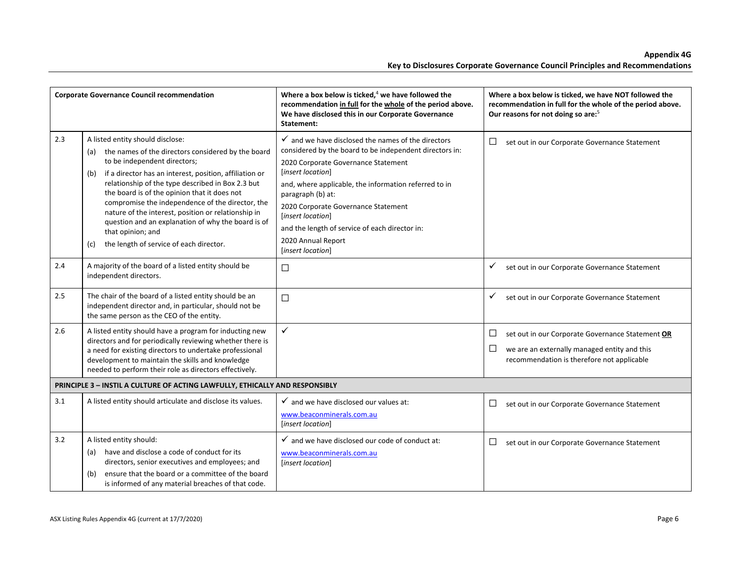|     | <b>Corporate Governance Council recommendation</b>                                                                                                                                                                                                                                                                                                                                                                                                                                                                                           | Where a box below is ticked, $4$ we have followed the<br>recommendation in full for the whole of the period above.<br>We have disclosed this in our Corporate Governance<br>Statement:                                                                                                                                                                                                                                      | Where a box below is ticked, we have NOT followed the<br>recommendation in full for the whole of the period above.<br>Our reasons for not doing so are: <sup>5</sup> |
|-----|----------------------------------------------------------------------------------------------------------------------------------------------------------------------------------------------------------------------------------------------------------------------------------------------------------------------------------------------------------------------------------------------------------------------------------------------------------------------------------------------------------------------------------------------|-----------------------------------------------------------------------------------------------------------------------------------------------------------------------------------------------------------------------------------------------------------------------------------------------------------------------------------------------------------------------------------------------------------------------------|----------------------------------------------------------------------------------------------------------------------------------------------------------------------|
| 2.3 | A listed entity should disclose:<br>the names of the directors considered by the board<br>(a)<br>to be independent directors;<br>if a director has an interest, position, affiliation or<br>(b)<br>relationship of the type described in Box 2.3 but<br>the board is of the opinion that it does not<br>compromise the independence of the director, the<br>nature of the interest, position or relationship in<br>question and an explanation of why the board is of<br>that opinion; and<br>the length of service of each director.<br>(c) | $\checkmark$ and we have disclosed the names of the directors<br>considered by the board to be independent directors in:<br>2020 Corporate Governance Statement<br>[insert location]<br>and, where applicable, the information referred to in<br>paragraph (b) at:<br>2020 Corporate Governance Statement<br>[insert location]<br>and the length of service of each director in:<br>2020 Annual Report<br>[insert location] | □<br>set out in our Corporate Governance Statement                                                                                                                   |
| 2.4 | A majority of the board of a listed entity should be<br>independent directors.                                                                                                                                                                                                                                                                                                                                                                                                                                                               | $\Box$                                                                                                                                                                                                                                                                                                                                                                                                                      | ✓<br>set out in our Corporate Governance Statement                                                                                                                   |
| 2.5 | The chair of the board of a listed entity should be an<br>independent director and, in particular, should not be<br>the same person as the CEO of the entity.                                                                                                                                                                                                                                                                                                                                                                                | $\Box$                                                                                                                                                                                                                                                                                                                                                                                                                      | ✓<br>set out in our Corporate Governance Statement                                                                                                                   |
| 2.6 | A listed entity should have a program for inducting new<br>directors and for periodically reviewing whether there is<br>a need for existing directors to undertake professional<br>development to maintain the skills and knowledge<br>needed to perform their role as directors effectively.                                                                                                                                                                                                                                                | $\checkmark$                                                                                                                                                                                                                                                                                                                                                                                                                | □<br>set out in our Corporate Governance Statement OR<br>$\Box$<br>we are an externally managed entity and this<br>recommendation is therefore not applicable        |
|     | PRINCIPLE 3 - INSTIL A CULTURE OF ACTING LAWFULLY, ETHICALLY AND RESPONSIBLY                                                                                                                                                                                                                                                                                                                                                                                                                                                                 |                                                                                                                                                                                                                                                                                                                                                                                                                             |                                                                                                                                                                      |
| 3.1 | A listed entity should articulate and disclose its values.                                                                                                                                                                                                                                                                                                                                                                                                                                                                                   | $\checkmark$ and we have disclosed our values at:<br>www.beaconminerals.com.au<br>[insert location]                                                                                                                                                                                                                                                                                                                         | ⊔<br>set out in our Corporate Governance Statement                                                                                                                   |
| 3.2 | A listed entity should:<br>have and disclose a code of conduct for its<br>(a)<br>directors, senior executives and employees; and<br>ensure that the board or a committee of the board<br>(b)<br>is informed of any material breaches of that code.                                                                                                                                                                                                                                                                                           | $\checkmark$ and we have disclosed our code of conduct at:<br>www.beaconminerals.com.au<br>[insert location]                                                                                                                                                                                                                                                                                                                | □<br>set out in our Corporate Governance Statement                                                                                                                   |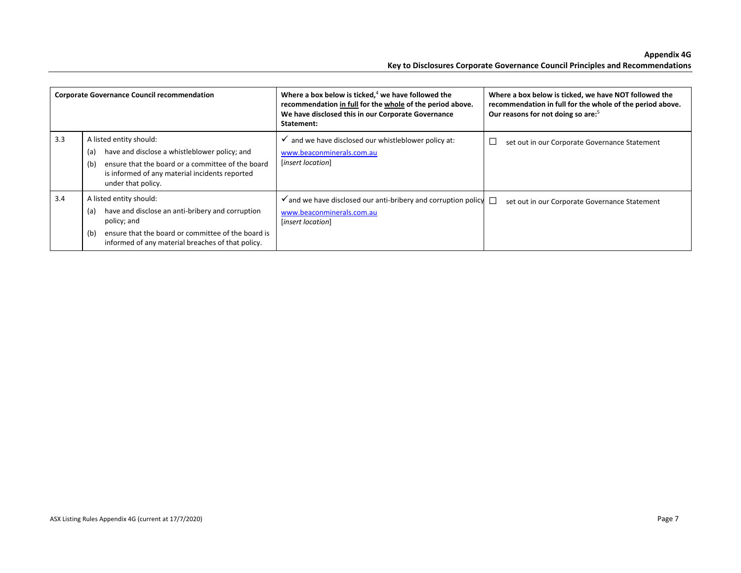|     | <b>Corporate Governance Council recommendation</b>                                                                                                                                                                  | Where a box below is ticked, $4$ we have followed the<br>recommendation in full for the whole of the period above.<br>We have disclosed this in our Corporate Governance<br>Statement: | Where a box below is ticked, we have NOT followed the<br>recommendation in full for the whole of the period above.<br>Our reasons for not doing so are: <sup>5</sup> |
|-----|---------------------------------------------------------------------------------------------------------------------------------------------------------------------------------------------------------------------|----------------------------------------------------------------------------------------------------------------------------------------------------------------------------------------|----------------------------------------------------------------------------------------------------------------------------------------------------------------------|
| 3.3 | A listed entity should:<br>have and disclose a whistleblower policy; and<br>(a)<br>ensure that the board or a committee of the board<br>(b)<br>is informed of any material incidents reported<br>under that policy. | and we have disclosed our whistleblower policy at:<br>www.beaconminerals.com.au<br>[insert location]                                                                                   | set out in our Corporate Governance Statement<br>∟                                                                                                                   |
| 3.4 | A listed entity should:<br>have and disclose an anti-bribery and corruption<br>(a)<br>policy; and<br>ensure that the board or committee of the board is<br>(b)<br>informed of any material breaches of that policy. | $\checkmark$ and we have disclosed our anti-bribery and corruption policy $\Box$<br>www.beaconminerals.com.au<br>[insert location]                                                     | set out in our Corporate Governance Statement                                                                                                                        |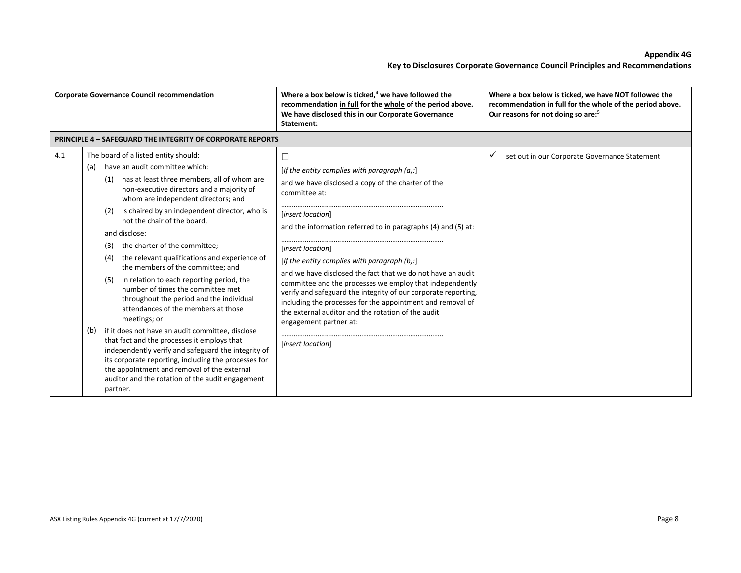|     | <b>Corporate Governance Council recommendation</b>                                                                                                                                                                                                                                                                                                                                                                                                                                                                                                                                                                                                                                                                                                                                                                                                                                                                                       | Where a box below is ticked, $4$ we have followed the<br>recommendation in full for the whole of the period above.<br>We have disclosed this in our Corporate Governance                                                                                                                                                                                                                                                                                                                                                                                                                                                                                           | Where a box below is ticked, we have NOT followed the<br>recommendation in full for the whole of the period above.<br>Our reasons for not doing so are: <sup>5</sup> |
|-----|------------------------------------------------------------------------------------------------------------------------------------------------------------------------------------------------------------------------------------------------------------------------------------------------------------------------------------------------------------------------------------------------------------------------------------------------------------------------------------------------------------------------------------------------------------------------------------------------------------------------------------------------------------------------------------------------------------------------------------------------------------------------------------------------------------------------------------------------------------------------------------------------------------------------------------------|--------------------------------------------------------------------------------------------------------------------------------------------------------------------------------------------------------------------------------------------------------------------------------------------------------------------------------------------------------------------------------------------------------------------------------------------------------------------------------------------------------------------------------------------------------------------------------------------------------------------------------------------------------------------|----------------------------------------------------------------------------------------------------------------------------------------------------------------------|
|     |                                                                                                                                                                                                                                                                                                                                                                                                                                                                                                                                                                                                                                                                                                                                                                                                                                                                                                                                          | Statement:                                                                                                                                                                                                                                                                                                                                                                                                                                                                                                                                                                                                                                                         |                                                                                                                                                                      |
|     | <b>PRINCIPLE 4 - SAFEGUARD THE INTEGRITY OF CORPORATE REPORTS</b>                                                                                                                                                                                                                                                                                                                                                                                                                                                                                                                                                                                                                                                                                                                                                                                                                                                                        |                                                                                                                                                                                                                                                                                                                                                                                                                                                                                                                                                                                                                                                                    |                                                                                                                                                                      |
| 4.1 | The board of a listed entity should:<br>have an audit committee which:<br>(a)<br>has at least three members, all of whom are<br>(1)<br>non-executive directors and a majority of<br>whom are independent directors; and<br>is chaired by an independent director, who is<br>(2)<br>not the chair of the board,<br>and disclose:<br>the charter of the committee;<br>(3)<br>the relevant qualifications and experience of<br>(4)<br>the members of the committee; and<br>in relation to each reporting period, the<br>(5)<br>number of times the committee met<br>throughout the period and the individual<br>attendances of the members at those<br>meetings; or<br>if it does not have an audit committee, disclose<br>(b)<br>that fact and the processes it employs that<br>independently verify and safeguard the integrity of<br>its corporate reporting, including the processes for<br>the appointment and removal of the external | $\Box$<br>[If the entity complies with paragraph $(a)$ :]<br>and we have disclosed a copy of the charter of the<br>committee at:<br><i>linsert locationl</i><br>and the information referred to in paragraphs (4) and (5) at:<br>[insert location]<br>[If the entity complies with paragraph (b):]<br>and we have disclosed the fact that we do not have an audit<br>committee and the processes we employ that independently<br>verify and safeguard the integrity of our corporate reporting.<br>including the processes for the appointment and removal of<br>the external auditor and the rotation of the audit<br>engagement partner at:<br>[insert location] | set out in our Corporate Governance Statement<br>✓                                                                                                                   |
|     | auditor and the rotation of the audit engagement<br>partner.                                                                                                                                                                                                                                                                                                                                                                                                                                                                                                                                                                                                                                                                                                                                                                                                                                                                             |                                                                                                                                                                                                                                                                                                                                                                                                                                                                                                                                                                                                                                                                    |                                                                                                                                                                      |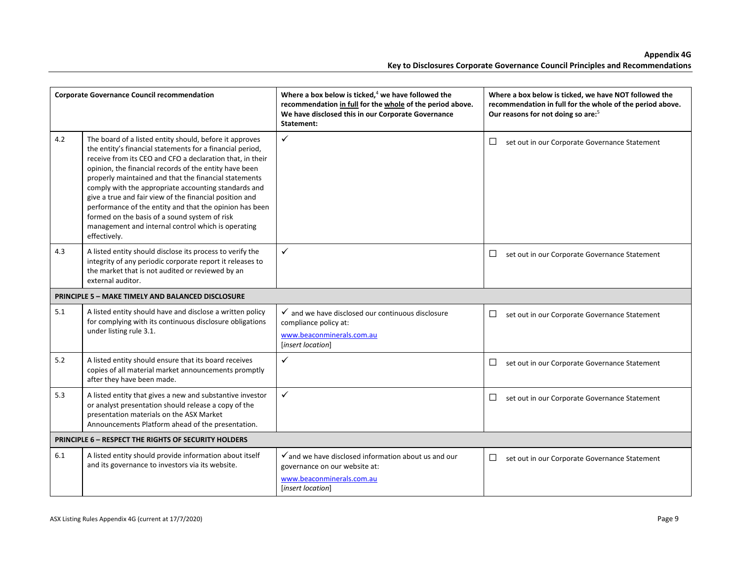|     | <b>Corporate Governance Council recommendation</b>                                                                                                                                                                                                                                                                                                                                                                                                                                                                                                                                                        | Where a box below is ticked, $4$ we have followed the<br>recommendation in full for the whole of the period above.<br>We have disclosed this in our Corporate Governance<br>Statement: | Where a box below is ticked, we have NOT followed the<br>recommendation in full for the whole of the period above.<br>Our reasons for not doing so are: <sup>5</sup> |
|-----|-----------------------------------------------------------------------------------------------------------------------------------------------------------------------------------------------------------------------------------------------------------------------------------------------------------------------------------------------------------------------------------------------------------------------------------------------------------------------------------------------------------------------------------------------------------------------------------------------------------|----------------------------------------------------------------------------------------------------------------------------------------------------------------------------------------|----------------------------------------------------------------------------------------------------------------------------------------------------------------------|
| 4.2 | The board of a listed entity should, before it approves<br>the entity's financial statements for a financial period,<br>receive from its CEO and CFO a declaration that, in their<br>opinion, the financial records of the entity have been<br>properly maintained and that the financial statements<br>comply with the appropriate accounting standards and<br>give a true and fair view of the financial position and<br>performance of the entity and that the opinion has been<br>formed on the basis of a sound system of risk<br>management and internal control which is operating<br>effectively. | $\checkmark$                                                                                                                                                                           | □<br>set out in our Corporate Governance Statement                                                                                                                   |
| 4.3 | A listed entity should disclose its process to verify the<br>integrity of any periodic corporate report it releases to<br>the market that is not audited or reviewed by an<br>external auditor.                                                                                                                                                                                                                                                                                                                                                                                                           | $\checkmark$                                                                                                                                                                           | □<br>set out in our Corporate Governance Statement                                                                                                                   |
|     | <b>PRINCIPLE 5 - MAKE TIMELY AND BALANCED DISCLOSURE</b>                                                                                                                                                                                                                                                                                                                                                                                                                                                                                                                                                  |                                                                                                                                                                                        |                                                                                                                                                                      |
| 5.1 | A listed entity should have and disclose a written policy<br>for complying with its continuous disclosure obligations<br>under listing rule 3.1.                                                                                                                                                                                                                                                                                                                                                                                                                                                          | $\checkmark$ and we have disclosed our continuous disclosure<br>compliance policy at:<br>www.beaconminerals.com.au<br>[insert location]                                                | □<br>set out in our Corporate Governance Statement                                                                                                                   |
| 5.2 | A listed entity should ensure that its board receives<br>copies of all material market announcements promptly<br>after they have been made.                                                                                                                                                                                                                                                                                                                                                                                                                                                               | $\checkmark$                                                                                                                                                                           | □<br>set out in our Corporate Governance Statement                                                                                                                   |
| 5.3 | A listed entity that gives a new and substantive investor<br>or analyst presentation should release a copy of the<br>presentation materials on the ASX Market<br>Announcements Platform ahead of the presentation.                                                                                                                                                                                                                                                                                                                                                                                        | $\checkmark$                                                                                                                                                                           | □<br>set out in our Corporate Governance Statement                                                                                                                   |
|     | <b>PRINCIPLE 6 - RESPECT THE RIGHTS OF SECURITY HOLDERS</b>                                                                                                                                                                                                                                                                                                                                                                                                                                                                                                                                               |                                                                                                                                                                                        |                                                                                                                                                                      |
| 6.1 | A listed entity should provide information about itself<br>and its governance to investors via its website.                                                                                                                                                                                                                                                                                                                                                                                                                                                                                               | $\checkmark$ and we have disclosed information about us and our<br>governance on our website at:<br>www.beaconminerals.com.au<br>[insert location]                                     | ப<br>set out in our Corporate Governance Statement                                                                                                                   |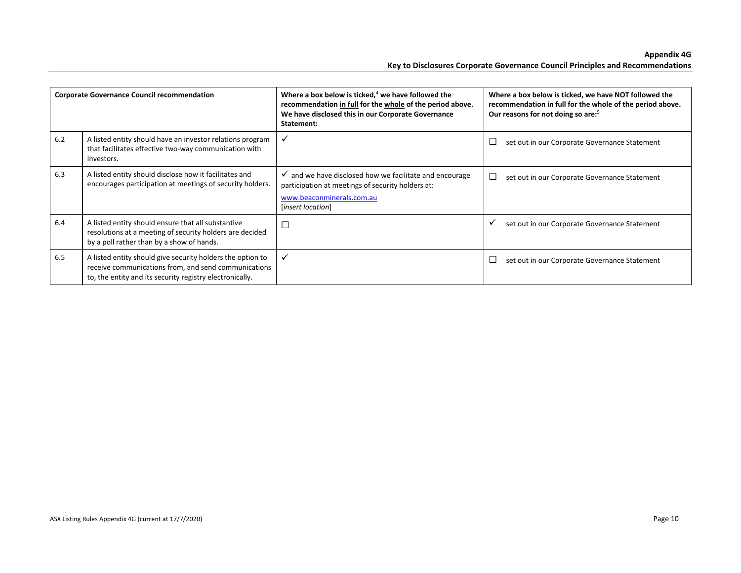|     | <b>Corporate Governance Council recommendation</b>                                                                                                                             | Where a box below is ticked, $4$ we have followed the<br>recommendation in full for the whole of the period above.<br>We have disclosed this in our Corporate Governance<br>Statement: | Where a box below is ticked, we have NOT followed the<br>recommendation in full for the whole of the period above.<br>Our reasons for not doing so are: <sup>5</sup> |
|-----|--------------------------------------------------------------------------------------------------------------------------------------------------------------------------------|----------------------------------------------------------------------------------------------------------------------------------------------------------------------------------------|----------------------------------------------------------------------------------------------------------------------------------------------------------------------|
| 6.2 | A listed entity should have an investor relations program<br>that facilitates effective two-way communication with<br>investors.                                               | ✓                                                                                                                                                                                      | set out in our Corporate Governance Statement                                                                                                                        |
| 6.3 | A listed entity should disclose how it facilitates and<br>encourages participation at meetings of security holders.                                                            | $\checkmark$ and we have disclosed how we facilitate and encourage<br>participation at meetings of security holders at:<br>www.beaconminerals.com.au<br>[insert location]              | set out in our Corporate Governance Statement<br>ப                                                                                                                   |
| 6.4 | A listed entity should ensure that all substantive<br>resolutions at a meeting of security holders are decided<br>by a poll rather than by a show of hands.                    | П                                                                                                                                                                                      | set out in our Corporate Governance Statement<br>✓                                                                                                                   |
| 6.5 | A listed entity should give security holders the option to<br>receive communications from, and send communications<br>to, the entity and its security registry electronically. | ✓                                                                                                                                                                                      | set out in our Corporate Governance Statement                                                                                                                        |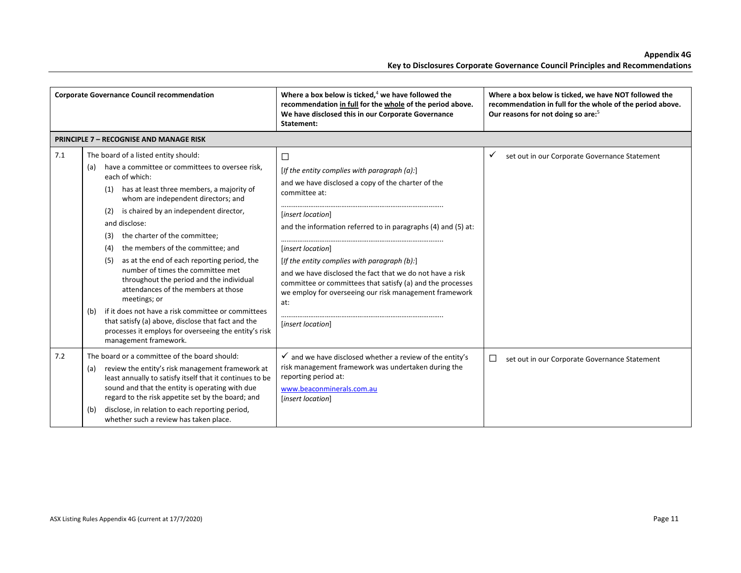|     | <b>Corporate Governance Council recommendation</b>                                                                                                                                                                                                                                                                                                                                                                                                                                                                                                                                                                                                                                                                                                                   | Where a box below is ticked, $4$ we have followed the<br>recommendation in full for the whole of the period above.<br>We have disclosed this in our Corporate Governance<br>Statement:                                                                                                                                                                                                                                                                                                                       | Where a box below is ticked, we have NOT followed the<br>recommendation in full for the whole of the period above.<br>Our reasons for not doing so are: <sup>5</sup> |
|-----|----------------------------------------------------------------------------------------------------------------------------------------------------------------------------------------------------------------------------------------------------------------------------------------------------------------------------------------------------------------------------------------------------------------------------------------------------------------------------------------------------------------------------------------------------------------------------------------------------------------------------------------------------------------------------------------------------------------------------------------------------------------------|--------------------------------------------------------------------------------------------------------------------------------------------------------------------------------------------------------------------------------------------------------------------------------------------------------------------------------------------------------------------------------------------------------------------------------------------------------------------------------------------------------------|----------------------------------------------------------------------------------------------------------------------------------------------------------------------|
|     | <b>PRINCIPLE 7 - RECOGNISE AND MANAGE RISK</b>                                                                                                                                                                                                                                                                                                                                                                                                                                                                                                                                                                                                                                                                                                                       |                                                                                                                                                                                                                                                                                                                                                                                                                                                                                                              |                                                                                                                                                                      |
| 7.1 | The board of a listed entity should:<br>have a committee or committees to oversee risk,<br>(a)<br>each of which:<br>has at least three members, a majority of<br>(1)<br>whom are independent directors; and<br>is chaired by an independent director,<br>(2)<br>and disclose:<br>the charter of the committee;<br>(3)<br>the members of the committee; and<br>(4)<br>as at the end of each reporting period, the<br>(5)<br>number of times the committee met<br>throughout the period and the individual<br>attendances of the members at those<br>meetings; or<br>if it does not have a risk committee or committees<br>(b)<br>that satisfy (a) above, disclose that fact and the<br>processes it employs for overseeing the entity's risk<br>management framework. | $\Box$<br>[If the entity complies with paragraph $(a)$ :]<br>and we have disclosed a copy of the charter of the<br>committee at:<br>[insert location]<br>and the information referred to in paragraphs (4) and (5) at:<br>[insert location]<br>[If the entity complies with paragraph (b):]<br>and we have disclosed the fact that we do not have a risk<br>committee or committees that satisfy (a) and the processes<br>we employ for overseeing our risk management framework<br>at:<br>[insert location] | set out in our Corporate Governance Statement<br>✓                                                                                                                   |
| 7.2 | The board or a committee of the board should:<br>review the entity's risk management framework at<br>(a)<br>least annually to satisfy itself that it continues to be<br>sound and that the entity is operating with due<br>regard to the risk appetite set by the board; and<br>disclose, in relation to each reporting period,<br>(b)<br>whether such a review has taken place.                                                                                                                                                                                                                                                                                                                                                                                     | $\checkmark$ and we have disclosed whether a review of the entity's<br>risk management framework was undertaken during the<br>reporting period at:<br>www.beaconminerals.com.au<br>[insert location]                                                                                                                                                                                                                                                                                                         | □<br>set out in our Corporate Governance Statement                                                                                                                   |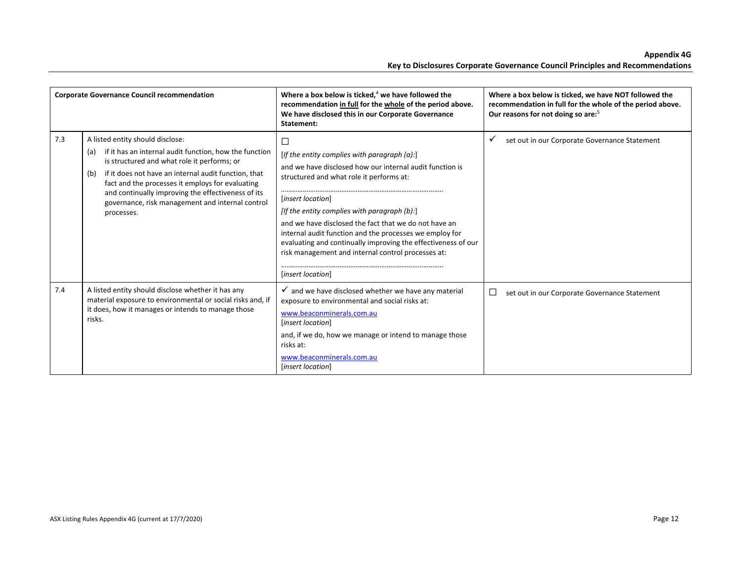|     | <b>Corporate Governance Council recommendation</b>                                                                                                                                                                                                                                                                                                                                          | Where a box below is ticked, $4$ we have followed the<br>recommendation in full for the whole of the period above.<br>We have disclosed this in our Corporate Governance<br>Statement:                                                                                                                                                                                                                                                                                                                        | Where a box below is ticked, we have NOT followed the<br>recommendation in full for the whole of the period above.<br>Our reasons for not doing so are: <sup>5</sup> |
|-----|---------------------------------------------------------------------------------------------------------------------------------------------------------------------------------------------------------------------------------------------------------------------------------------------------------------------------------------------------------------------------------------------|---------------------------------------------------------------------------------------------------------------------------------------------------------------------------------------------------------------------------------------------------------------------------------------------------------------------------------------------------------------------------------------------------------------------------------------------------------------------------------------------------------------|----------------------------------------------------------------------------------------------------------------------------------------------------------------------|
| 7.3 | A listed entity should disclose:<br>if it has an internal audit function, how the function<br>(a)<br>is structured and what role it performs; or<br>if it does not have an internal audit function, that<br>(b)<br>fact and the processes it employs for evaluating<br>and continually improving the effectiveness of its<br>governance, risk management and internal control<br>processes. | $\Box$<br>[If the entity complies with paragraph $(a)$ :]<br>and we have disclosed how our internal audit function is<br>structured and what role it performs at:<br>[insert location]<br>[If the entity complies with paragraph (b):]<br>and we have disclosed the fact that we do not have an<br>internal audit function and the processes we employ for<br>evaluating and continually improving the effectiveness of our<br>risk management and internal control processes at:<br><i>linsert locationl</i> | set out in our Corporate Governance Statement<br>✓                                                                                                                   |
| 7.4 | A listed entity should disclose whether it has any<br>material exposure to environmental or social risks and, if<br>it does, how it manages or intends to manage those<br>risks.                                                                                                                                                                                                            | $\checkmark$ and we have disclosed whether we have any material<br>exposure to environmental and social risks at:<br>www.beaconminerals.com.au<br>[insert location]<br>and, if we do, how we manage or intend to manage those<br>risks at:<br>www.beaconminerals.com.au<br>[insert location]                                                                                                                                                                                                                  | ப<br>set out in our Corporate Governance Statement                                                                                                                   |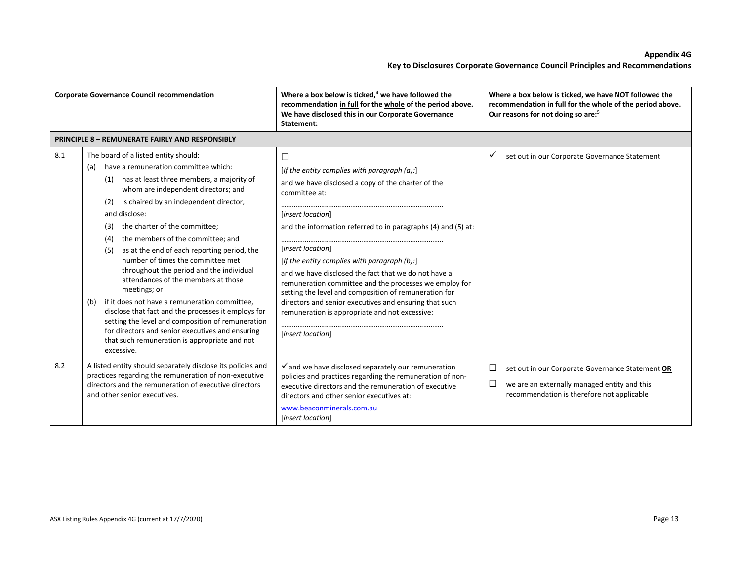| <b>Corporate Governance Council recommendation</b> |                                                                                                                                                                                                                                                                                                                                                                                                                                                                                            | Where a box below is ticked, $4$ we have followed the<br>recommendation in full for the whole of the period above.<br>We have disclosed this in our Corporate Governance<br>Statement:                                                                                                                                                                                                                                                                       | Where a box below is ticked, we have NOT followed the<br>recommendation in full for the whole of the period above.<br>Our reasons for not doing so are: <sup>5</sup> |  |  |  |  |
|----------------------------------------------------|--------------------------------------------------------------------------------------------------------------------------------------------------------------------------------------------------------------------------------------------------------------------------------------------------------------------------------------------------------------------------------------------------------------------------------------------------------------------------------------------|--------------------------------------------------------------------------------------------------------------------------------------------------------------------------------------------------------------------------------------------------------------------------------------------------------------------------------------------------------------------------------------------------------------------------------------------------------------|----------------------------------------------------------------------------------------------------------------------------------------------------------------------|--|--|--|--|
|                                                    | <b>PRINCIPLE 8 - REMUNERATE FAIRLY AND RESPONSIBLY</b>                                                                                                                                                                                                                                                                                                                                                                                                                                     |                                                                                                                                                                                                                                                                                                                                                                                                                                                              |                                                                                                                                                                      |  |  |  |  |
| 8.1                                                | The board of a listed entity should:                                                                                                                                                                                                                                                                                                                                                                                                                                                       | $\Box$                                                                                                                                                                                                                                                                                                                                                                                                                                                       | $\checkmark$<br>set out in our Corporate Governance Statement                                                                                                        |  |  |  |  |
|                                                    | have a remuneration committee which:<br>(a)<br>has at least three members, a majority of<br>(1)<br>whom are independent directors; and<br>is chaired by an independent director,<br>(2)<br>and disclose:<br>the charter of the committee;<br>(3)<br>the members of the committee; and<br>(4)<br>as at the end of each reporting period, the<br>(5)<br>number of times the committee met<br>throughout the period and the individual<br>attendances of the members at those<br>meetings; or | [If the entity complies with paragraph $(a)$ :]<br>and we have disclosed a copy of the charter of the<br>committee at:<br>[insert location]<br>and the information referred to in paragraphs (4) and (5) at:<br>[insert location]<br>[If the entity complies with paragraph (b):]<br>and we have disclosed the fact that we do not have a<br>remuneration committee and the processes we employ for<br>setting the level and composition of remuneration for |                                                                                                                                                                      |  |  |  |  |
|                                                    | if it does not have a remuneration committee,<br>(b)<br>disclose that fact and the processes it employs for<br>setting the level and composition of remuneration<br>for directors and senior executives and ensuring<br>that such remuneration is appropriate and not<br>excessive.                                                                                                                                                                                                        | directors and senior executives and ensuring that such<br>remuneration is appropriate and not excessive:<br>[insert location]                                                                                                                                                                                                                                                                                                                                |                                                                                                                                                                      |  |  |  |  |
| 8.2                                                | A listed entity should separately disclose its policies and<br>practices regarding the remuneration of non-executive<br>directors and the remuneration of executive directors<br>and other senior executives.                                                                                                                                                                                                                                                                              | $\checkmark$ and we have disclosed separately our remuneration<br>policies and practices regarding the remuneration of non-<br>executive directors and the remuneration of executive<br>directors and other senior executives at:<br>www.beaconminerals.com.au<br>[insert location]                                                                                                                                                                          | □<br>set out in our Corporate Governance Statement OR<br>$\Box$<br>we are an externally managed entity and this<br>recommendation is therefore not applicable        |  |  |  |  |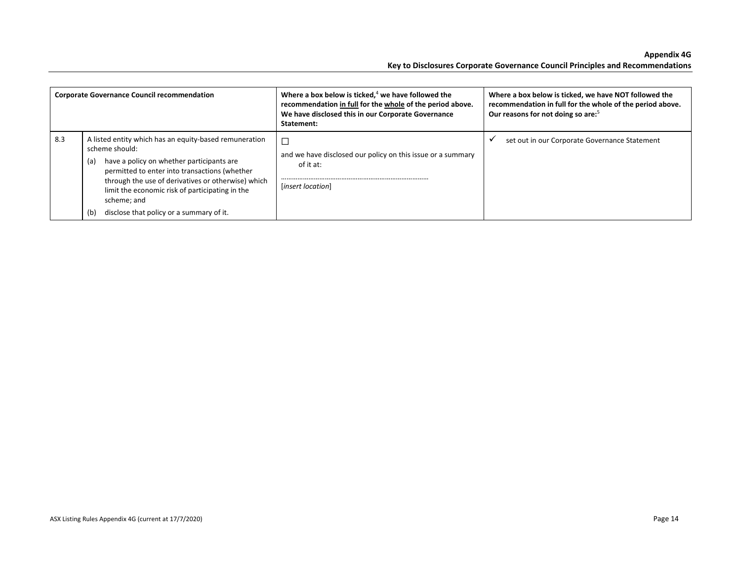|     | <b>Corporate Governance Council recommendation</b>                                                                                                                                                                                                                                                                                                       | Where a box below is ticked, $4$ we have followed the<br>recommendation in full for the whole of the period above.<br>We have disclosed this in our Corporate Governance<br>Statement: | Where a box below is ticked, we have NOT followed the<br>recommendation in full for the whole of the period above.<br>Our reasons for not doing so are: <sup>5</sup> |
|-----|----------------------------------------------------------------------------------------------------------------------------------------------------------------------------------------------------------------------------------------------------------------------------------------------------------------------------------------------------------|----------------------------------------------------------------------------------------------------------------------------------------------------------------------------------------|----------------------------------------------------------------------------------------------------------------------------------------------------------------------|
| 8.3 | A listed entity which has an equity-based remuneration<br>scheme should:<br>have a policy on whether participants are<br>(a)<br>permitted to enter into transactions (whether<br>through the use of derivatives or otherwise) which<br>limit the economic risk of participating in the<br>scheme: and<br>disclose that policy or a summary of it.<br>(b) | and we have disclosed our policy on this issue or a summary<br>of it at:<br>[insert location]                                                                                          | set out in our Corporate Governance Statement                                                                                                                        |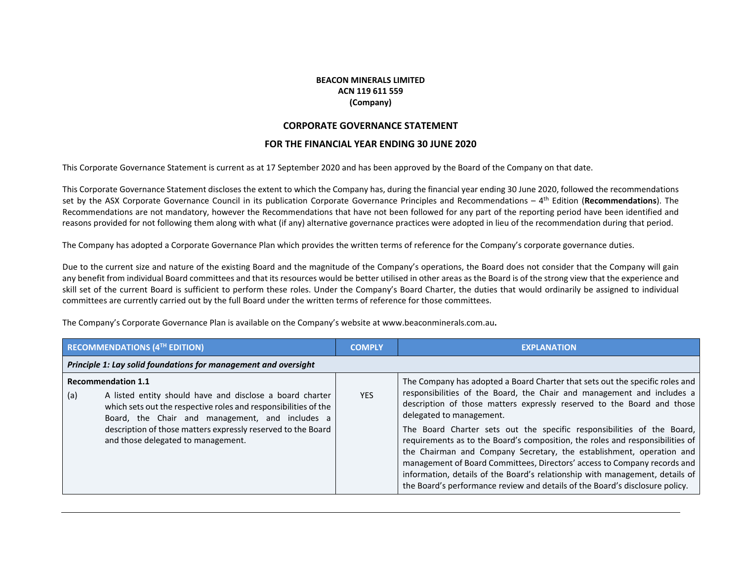#### **BEACON MINERALS LIMITED ACN 119 611 559 (Company)**

#### **CORPORATE GOVERNANCE STATEMENT**

#### **FOR THE FINANCIAL YEAR ENDING 30 JUNE 2020**

This Corporate Governance Statement is current as at 17 September 2020 and has been approved by the Board of the Company on that date.

This Corporate Governance Statement discloses the extent to which the Company has, during the financial year ending 30 June 2020, followed the recommendations set by the ASX Corporate Governance Council in its publication Corporate Governance Principles and Recommendations – <sup>4</sup>th Edition (**Recommendations**). The Recommendations are not mandatory, however the Recommendations that have not been followed for any part of the reporting period have been identified and reasons provided for not following them along with what (if any) alternative governance practices were adopted in lieu of the recommendation during that period.

The Company has adopted <sup>a</sup> Corporate Governance Plan which provides the written terms of reference for the Company's corporate governance duties.

Due to the current size and nature of the existing Board and the magnitude of the Company's operations, the Board does not consider that the Company will gain any benefit from individual Board committees and that its resources would be better utilised in other areas as the Board is of the strong view that the experience and skill set of the current Board is sufficient to perform these roles. Under the Company's Board Charter, the duties that would ordinarily be assigned to individual committees are currently carried out by the full Board under the written terms of reference for those committees.

The Company's Corporate Governance Plan is available on the Company's website at www.beaconminerals.com.au**.**

| <b>RECOMMENDATIONS (4TH EDITION)</b>                                                                                                                                                                                                                                                                                     | <b>COMPLY</b> | <b>EXPLANATION</b>                                                                                                                                                                                                                                                                                                                                                                                                                                                                                                                                                                                                                                                                                                                          |  |  |
|--------------------------------------------------------------------------------------------------------------------------------------------------------------------------------------------------------------------------------------------------------------------------------------------------------------------------|---------------|---------------------------------------------------------------------------------------------------------------------------------------------------------------------------------------------------------------------------------------------------------------------------------------------------------------------------------------------------------------------------------------------------------------------------------------------------------------------------------------------------------------------------------------------------------------------------------------------------------------------------------------------------------------------------------------------------------------------------------------------|--|--|
| Principle 1: Lay solid foundations for management and oversight                                                                                                                                                                                                                                                          |               |                                                                                                                                                                                                                                                                                                                                                                                                                                                                                                                                                                                                                                                                                                                                             |  |  |
| <b>Recommendation 1.1</b><br>A listed entity should have and disclose a board charter<br>(a)<br>which sets out the respective roles and responsibilities of the<br>Board, the Chair and management, and includes a<br>description of those matters expressly reserved to the Board<br>and those delegated to management. | <b>YES</b>    | The Company has adopted a Board Charter that sets out the specific roles and<br>responsibilities of the Board, the Chair and management and includes a<br>description of those matters expressly reserved to the Board and those<br>delegated to management.<br>The Board Charter sets out the specific responsibilities of the Board,<br>requirements as to the Board's composition, the roles and responsibilities of<br>the Chairman and Company Secretary, the establishment, operation and<br>management of Board Committees, Directors' access to Company records and<br>information, details of the Board's relationship with management, details of<br>the Board's performance review and details of the Board's disclosure policy. |  |  |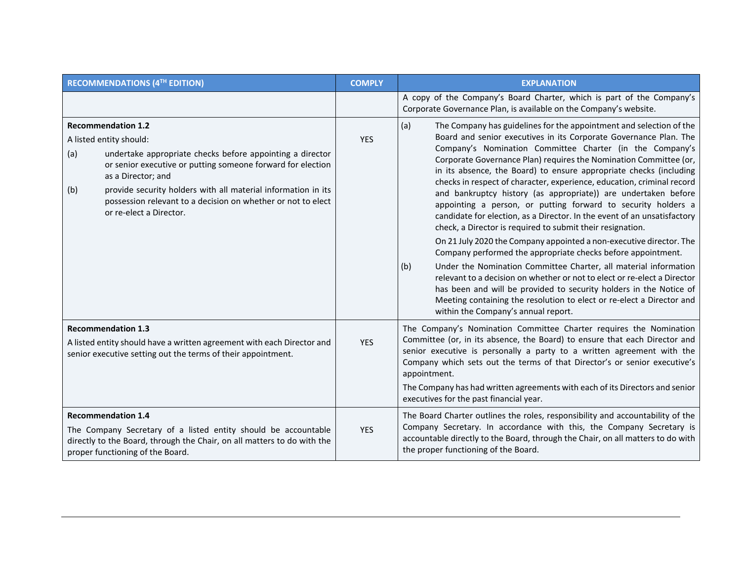| RECOMMENDATIONS (4TH EDITION) |                                                                                                                                                                                                                                                                                                                                                                    | <b>COMPLY</b> | <b>EXPLANATION</b>                                                                                                                                                                                                                                                                                                                                                                                                                                                                                                                                                                                                                                                                                                                                                                                                                                                                                                                                                                                                                                                                                                                                                                                |  |
|-------------------------------|--------------------------------------------------------------------------------------------------------------------------------------------------------------------------------------------------------------------------------------------------------------------------------------------------------------------------------------------------------------------|---------------|---------------------------------------------------------------------------------------------------------------------------------------------------------------------------------------------------------------------------------------------------------------------------------------------------------------------------------------------------------------------------------------------------------------------------------------------------------------------------------------------------------------------------------------------------------------------------------------------------------------------------------------------------------------------------------------------------------------------------------------------------------------------------------------------------------------------------------------------------------------------------------------------------------------------------------------------------------------------------------------------------------------------------------------------------------------------------------------------------------------------------------------------------------------------------------------------------|--|
|                               |                                                                                                                                                                                                                                                                                                                                                                    |               | A copy of the Company's Board Charter, which is part of the Company's<br>Corporate Governance Plan, is available on the Company's website.                                                                                                                                                                                                                                                                                                                                                                                                                                                                                                                                                                                                                                                                                                                                                                                                                                                                                                                                                                                                                                                        |  |
| (a)<br>(b)                    | <b>Recommendation 1.2</b><br>A listed entity should:<br>undertake appropriate checks before appointing a director<br>or senior executive or putting someone forward for election<br>as a Director; and<br>provide security holders with all material information in its<br>possession relevant to a decision on whether or not to elect<br>or re-elect a Director. | <b>YES</b>    | The Company has guidelines for the appointment and selection of the<br>(a)<br>Board and senior executives in its Corporate Governance Plan. The<br>Company's Nomination Committee Charter (in the Company's<br>Corporate Governance Plan) requires the Nomination Committee (or,<br>in its absence, the Board) to ensure appropriate checks (including<br>checks in respect of character, experience, education, criminal record<br>and bankruptcy history (as appropriate)) are undertaken before<br>appointing a person, or putting forward to security holders a<br>candidate for election, as a Director. In the event of an unsatisfactory<br>check, a Director is required to submit their resignation.<br>On 21 July 2020 the Company appointed a non-executive director. The<br>Company performed the appropriate checks before appointment.<br>Under the Nomination Committee Charter, all material information<br>(b)<br>relevant to a decision on whether or not to elect or re-elect a Director<br>has been and will be provided to security holders in the Notice of<br>Meeting containing the resolution to elect or re-elect a Director and<br>within the Company's annual report. |  |
|                               | <b>Recommendation 1.3</b><br>A listed entity should have a written agreement with each Director and<br>senior executive setting out the terms of their appointment.                                                                                                                                                                                                | <b>YES</b>    | The Company's Nomination Committee Charter requires the Nomination<br>Committee (or, in its absence, the Board) to ensure that each Director and<br>senior executive is personally a party to a written agreement with the<br>Company which sets out the terms of that Director's or senior executive's<br>appointment.<br>The Company has had written agreements with each of its Directors and senior<br>executives for the past financial year.                                                                                                                                                                                                                                                                                                                                                                                                                                                                                                                                                                                                                                                                                                                                                |  |
|                               | <b>Recommendation 1.4</b><br>The Company Secretary of a listed entity should be accountable<br>directly to the Board, through the Chair, on all matters to do with the<br>proper functioning of the Board.                                                                                                                                                         | <b>YES</b>    | The Board Charter outlines the roles, responsibility and accountability of the<br>Company Secretary. In accordance with this, the Company Secretary is<br>accountable directly to the Board, through the Chair, on all matters to do with<br>the proper functioning of the Board.                                                                                                                                                                                                                                                                                                                                                                                                                                                                                                                                                                                                                                                                                                                                                                                                                                                                                                                 |  |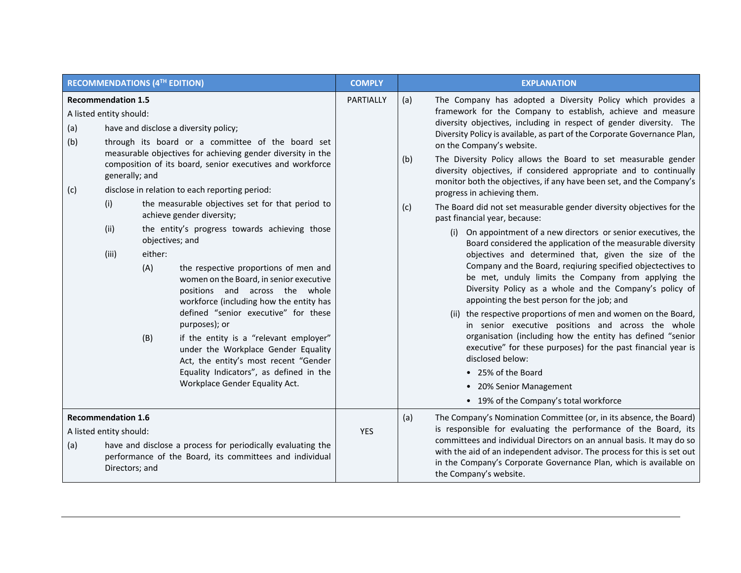|                   | <b>RECOMMENDATIONS (4TH EDITION)</b>                                                           |                       |                                                                                                                                                                                                                                                                                                                                                                                                                                                                                                                                                                                                                                                                                                                                                                                   | <b>COMPLY</b>    |                   | <b>EXPLANATION</b>                                                                                                                                                                                                                                                                                                                                                                                                                                                                                                                                                                                                                                                                                                                                                                                                                                                                                                                                                                                                                                                                                                                                                                                                                                                                                                                                                        |
|-------------------|------------------------------------------------------------------------------------------------|-----------------------|-----------------------------------------------------------------------------------------------------------------------------------------------------------------------------------------------------------------------------------------------------------------------------------------------------------------------------------------------------------------------------------------------------------------------------------------------------------------------------------------------------------------------------------------------------------------------------------------------------------------------------------------------------------------------------------------------------------------------------------------------------------------------------------|------------------|-------------------|---------------------------------------------------------------------------------------------------------------------------------------------------------------------------------------------------------------------------------------------------------------------------------------------------------------------------------------------------------------------------------------------------------------------------------------------------------------------------------------------------------------------------------------------------------------------------------------------------------------------------------------------------------------------------------------------------------------------------------------------------------------------------------------------------------------------------------------------------------------------------------------------------------------------------------------------------------------------------------------------------------------------------------------------------------------------------------------------------------------------------------------------------------------------------------------------------------------------------------------------------------------------------------------------------------------------------------------------------------------------------|
| (a)<br>(b)<br>(c) | <b>Recommendation 1.5</b><br>A listed entity should:<br>generally; and<br>(i)<br>(ii)<br>(iii) | either:<br>(A)<br>(B) | have and disclose a diversity policy;<br>through its board or a committee of the board set<br>measurable objectives for achieving gender diversity in the<br>composition of its board, senior executives and workforce<br>disclose in relation to each reporting period:<br>the measurable objectives set for that period to<br>achieve gender diversity;<br>the entity's progress towards achieving those<br>objectives; and<br>the respective proportions of men and<br>women on the Board, in senior executive<br>positions and across the whole<br>workforce (including how the entity has<br>defined "senior executive" for these<br>purposes); or<br>if the entity is a "relevant employer"<br>under the Workplace Gender Equality<br>Act, the entity's most recent "Gender | <b>PARTIALLY</b> | (a)<br>(b)<br>(c) | The Company has adopted a Diversity Policy which provides a<br>framework for the Company to establish, achieve and measure<br>diversity objectives, including in respect of gender diversity. The<br>Diversity Policy is available, as part of the Corporate Governance Plan,<br>on the Company's website.<br>The Diversity Policy allows the Board to set measurable gender<br>diversity objectives, if considered appropriate and to continually<br>monitor both the objectives, if any have been set, and the Company's<br>progress in achieving them.<br>The Board did not set measurable gender diversity objectives for the<br>past financial year, because:<br>(i) On appointment of a new directors or senior executives, the<br>Board considered the application of the measurable diversity<br>objectives and determined that, given the size of the<br>Company and the Board, reqiuring specified objectectives to<br>be met, unduly limits the Company from applying the<br>Diversity Policy as a whole and the Company's policy of<br>appointing the best person for the job; and<br>(ii) the respective proportions of men and women on the Board,<br>in senior executive positions and across the whole<br>organisation (including how the entity has defined "senior<br>executive" for these purposes) for the past financial year is<br>disclosed below: |
|                   |                                                                                                |                       | Equality Indicators", as defined in the<br>Workplace Gender Equality Act.                                                                                                                                                                                                                                                                                                                                                                                                                                                                                                                                                                                                                                                                                                         |                  |                   | • 25% of the Board<br>• 20% Senior Management                                                                                                                                                                                                                                                                                                                                                                                                                                                                                                                                                                                                                                                                                                                                                                                                                                                                                                                                                                                                                                                                                                                                                                                                                                                                                                                             |
|                   |                                                                                                |                       |                                                                                                                                                                                                                                                                                                                                                                                                                                                                                                                                                                                                                                                                                                                                                                                   |                  |                   | • 19% of the Company's total workforce                                                                                                                                                                                                                                                                                                                                                                                                                                                                                                                                                                                                                                                                                                                                                                                                                                                                                                                                                                                                                                                                                                                                                                                                                                                                                                                                    |
| (a)               | <b>Recommendation 1.6</b><br>A listed entity should:<br>Directors; and                         |                       | have and disclose a process for periodically evaluating the<br>performance of the Board, its committees and individual                                                                                                                                                                                                                                                                                                                                                                                                                                                                                                                                                                                                                                                            | <b>YES</b>       | (a)               | The Company's Nomination Committee (or, in its absence, the Board)<br>is responsible for evaluating the performance of the Board, its<br>committees and individual Directors on an annual basis. It may do so<br>with the aid of an independent advisor. The process for this is set out<br>in the Company's Corporate Governance Plan, which is available on<br>the Company's website.                                                                                                                                                                                                                                                                                                                                                                                                                                                                                                                                                                                                                                                                                                                                                                                                                                                                                                                                                                                   |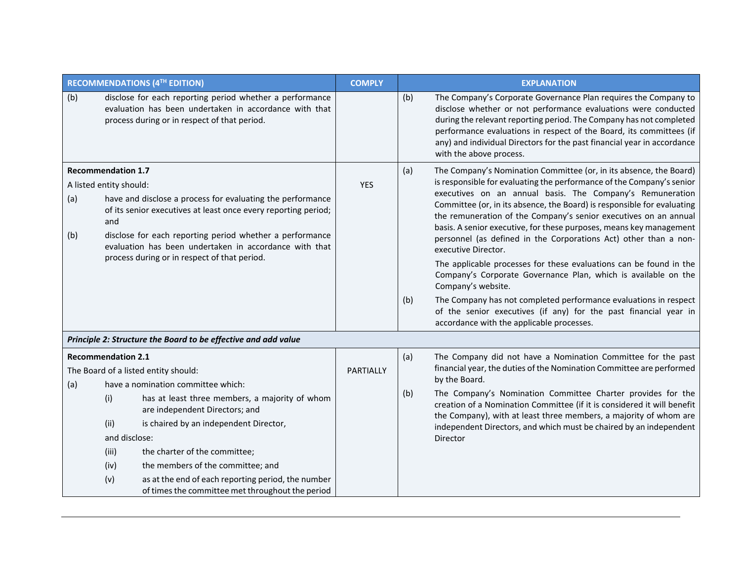| RECOMMENDATIONS (4TH EDITION) |                                                      |                                                                                                                                                                    | <b>COMPLY</b> |     | <b>EXPLANATION</b>                                                                                                                                                                                                                                                                                                                                                                    |
|-------------------------------|------------------------------------------------------|--------------------------------------------------------------------------------------------------------------------------------------------------------------------|---------------|-----|---------------------------------------------------------------------------------------------------------------------------------------------------------------------------------------------------------------------------------------------------------------------------------------------------------------------------------------------------------------------------------------|
| (b)                           |                                                      | disclose for each reporting period whether a performance<br>evaluation has been undertaken in accordance with that<br>process during or in respect of that period. |               | (b) | The Company's Corporate Governance Plan requires the Company to<br>disclose whether or not performance evaluations were conducted<br>during the relevant reporting period. The Company has not completed<br>performance evaluations in respect of the Board, its committees (if<br>any) and individual Directors for the past financial year in accordance<br>with the above process. |
|                               | <b>Recommendation 1.7</b><br>A listed entity should: |                                                                                                                                                                    | <b>YES</b>    | (a) | The Company's Nomination Committee (or, in its absence, the Board)<br>is responsible for evaluating the performance of the Company's senior                                                                                                                                                                                                                                           |
| (a)                           | and                                                  | have and disclose a process for evaluating the performance<br>of its senior executives at least once every reporting period;                                       |               |     | executives on an annual basis. The Company's Remuneration<br>Committee (or, in its absence, the Board) is responsible for evaluating<br>the remuneration of the Company's senior executives on an annual<br>basis. A senior executive, for these purposes, means key management                                                                                                       |
| (b)                           |                                                      | disclose for each reporting period whether a performance<br>evaluation has been undertaken in accordance with that<br>process during or in respect of that period. |               |     | personnel (as defined in the Corporations Act) other than a non-<br>executive Director.                                                                                                                                                                                                                                                                                               |
|                               |                                                      |                                                                                                                                                                    |               |     | The applicable processes for these evaluations can be found in the<br>Company's Corporate Governance Plan, which is available on the<br>Company's website.                                                                                                                                                                                                                            |
|                               |                                                      |                                                                                                                                                                    |               | (b) | The Company has not completed performance evaluations in respect<br>of the senior executives (if any) for the past financial year in<br>accordance with the applicable processes.                                                                                                                                                                                                     |
|                               |                                                      | Principle 2: Structure the Board to be effective and add value                                                                                                     |               |     |                                                                                                                                                                                                                                                                                                                                                                                       |
|                               | <b>Recommendation 2.1</b>                            | The Board of a listed entity should:                                                                                                                               | PARTIALLY     | (a) | The Company did not have a Nomination Committee for the past<br>financial year, the duties of the Nomination Committee are performed                                                                                                                                                                                                                                                  |
| (a)                           |                                                      | have a nomination committee which:                                                                                                                                 |               |     | by the Board.<br>The Company's Nomination Committee Charter provides for the                                                                                                                                                                                                                                                                                                          |
|                               | (i)                                                  | has at least three members, a majority of whom<br>are independent Directors; and                                                                                   |               | (b) | creation of a Nomination Committee (if it is considered it will benefit<br>the Company), with at least three members, a majority of whom are                                                                                                                                                                                                                                          |
|                               | (ii)                                                 | is chaired by an independent Director,                                                                                                                             |               |     | independent Directors, and which must be chaired by an independent                                                                                                                                                                                                                                                                                                                    |
|                               | and disclose:                                        |                                                                                                                                                                    |               |     | Director                                                                                                                                                                                                                                                                                                                                                                              |
|                               | (iii)                                                | the charter of the committee;                                                                                                                                      |               |     |                                                                                                                                                                                                                                                                                                                                                                                       |
|                               | (iv)                                                 | the members of the committee; and                                                                                                                                  |               |     |                                                                                                                                                                                                                                                                                                                                                                                       |
|                               | (v)                                                  | as at the end of each reporting period, the number<br>of times the committee met throughout the period                                                             |               |     |                                                                                                                                                                                                                                                                                                                                                                                       |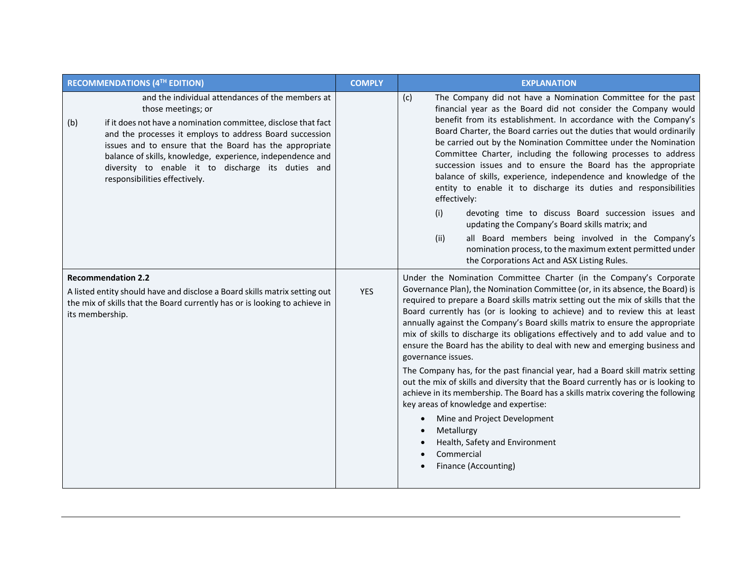| RECOMMENDATIONS (4TH EDITION)                                                                                                                                                                                                                                                                                                                                                                                               | <b>COMPLY</b> | <b>EXPLANATION</b>                                                                                                                                                                                                                                                                                                                                                                                                                                                                                                                                                                                                                                                                                                                                                                                                                                                                                                                                                                                                                 |
|-----------------------------------------------------------------------------------------------------------------------------------------------------------------------------------------------------------------------------------------------------------------------------------------------------------------------------------------------------------------------------------------------------------------------------|---------------|------------------------------------------------------------------------------------------------------------------------------------------------------------------------------------------------------------------------------------------------------------------------------------------------------------------------------------------------------------------------------------------------------------------------------------------------------------------------------------------------------------------------------------------------------------------------------------------------------------------------------------------------------------------------------------------------------------------------------------------------------------------------------------------------------------------------------------------------------------------------------------------------------------------------------------------------------------------------------------------------------------------------------------|
| and the individual attendances of the members at<br>those meetings; or<br>(b)<br>if it does not have a nomination committee, disclose that fact<br>and the processes it employs to address Board succession<br>issues and to ensure that the Board has the appropriate<br>balance of skills, knowledge, experience, independence and<br>diversity to enable it to discharge its duties and<br>responsibilities effectively. |               | (c)<br>The Company did not have a Nomination Committee for the past<br>financial year as the Board did not consider the Company would<br>benefit from its establishment. In accordance with the Company's<br>Board Charter, the Board carries out the duties that would ordinarily<br>be carried out by the Nomination Committee under the Nomination<br>Committee Charter, including the following processes to address<br>succession issues and to ensure the Board has the appropriate<br>balance of skills, experience, independence and knowledge of the<br>entity to enable it to discharge its duties and responsibilities<br>effectively:<br>(i)<br>devoting time to discuss Board succession issues and<br>updating the Company's Board skills matrix; and<br>(ii)<br>all Board members being involved in the Company's<br>nomination process, to the maximum extent permitted under<br>the Corporations Act and ASX Listing Rules.                                                                                       |
| <b>Recommendation 2.2</b><br>A listed entity should have and disclose a Board skills matrix setting out<br>the mix of skills that the Board currently has or is looking to achieve in<br>its membership.                                                                                                                                                                                                                    | <b>YES</b>    | Under the Nomination Committee Charter (in the Company's Corporate<br>Governance Plan), the Nomination Committee (or, in its absence, the Board) is<br>required to prepare a Board skills matrix setting out the mix of skills that the<br>Board currently has (or is looking to achieve) and to review this at least<br>annually against the Company's Board skills matrix to ensure the appropriate<br>mix of skills to discharge its obligations effectively and to add value and to<br>ensure the Board has the ability to deal with new and emerging business and<br>governance issues.<br>The Company has, for the past financial year, had a Board skill matrix setting<br>out the mix of skills and diversity that the Board currently has or is looking to<br>achieve in its membership. The Board has a skills matrix covering the following<br>key areas of knowledge and expertise:<br>Mine and Project Development<br>$\bullet$<br>Metallurgy<br>Health, Safety and Environment<br>Commercial<br>Finance (Accounting) |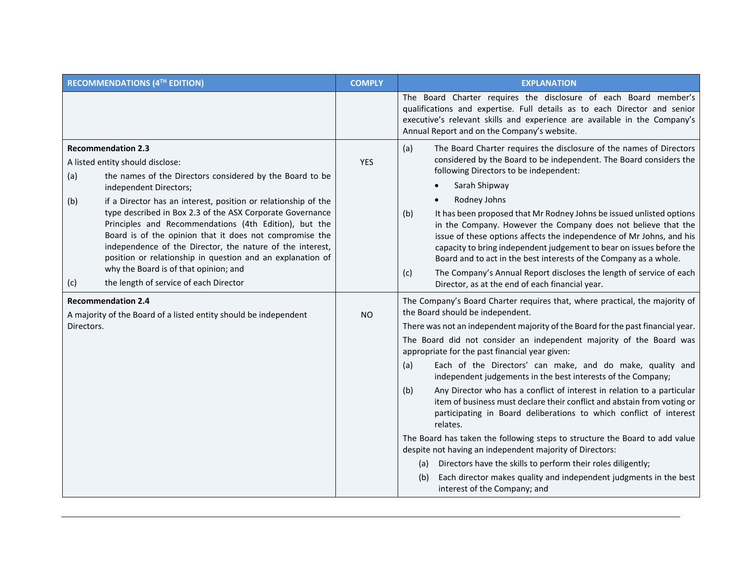| RECOMMENDATIONS (4TH EDITION) |                                                                                                                                                                                                                                                                                                          | <b>COMPLY</b> | <b>EXPLANATION</b>                                                                                                                                                                                                                                                                                                                                                |  |
|-------------------------------|----------------------------------------------------------------------------------------------------------------------------------------------------------------------------------------------------------------------------------------------------------------------------------------------------------|---------------|-------------------------------------------------------------------------------------------------------------------------------------------------------------------------------------------------------------------------------------------------------------------------------------------------------------------------------------------------------------------|--|
|                               |                                                                                                                                                                                                                                                                                                          |               | The Board Charter requires the disclosure of each Board member's<br>qualifications and expertise. Full details as to each Director and senior<br>executive's relevant skills and experience are available in the Company's<br>Annual Report and on the Company's website.                                                                                         |  |
| <b>Recommendation 2.3</b>     |                                                                                                                                                                                                                                                                                                          |               | (a)<br>The Board Charter requires the disclosure of the names of Directors<br>considered by the Board to be independent. The Board considers the                                                                                                                                                                                                                  |  |
| (a)                           | A listed entity should disclose:<br>the names of the Directors considered by the Board to be                                                                                                                                                                                                             | <b>YES</b>    | following Directors to be independent:                                                                                                                                                                                                                                                                                                                            |  |
|                               | independent Directors;                                                                                                                                                                                                                                                                                   |               | Sarah Shipway                                                                                                                                                                                                                                                                                                                                                     |  |
| (b)                           | if a Director has an interest, position or relationship of the                                                                                                                                                                                                                                           |               | Rodney Johns                                                                                                                                                                                                                                                                                                                                                      |  |
|                               | type described in Box 2.3 of the ASX Corporate Governance<br>Principles and Recommendations (4th Edition), but the<br>Board is of the opinion that it does not compromise the<br>independence of the Director, the nature of the interest,<br>position or relationship in question and an explanation of |               | It has been proposed that Mr Rodney Johns be issued unlisted options<br>(b)<br>in the Company. However the Company does not believe that the<br>issue of these options affects the independence of Mr Johns, and his<br>capacity to bring independent judgement to bear on issues before the<br>Board and to act in the best interests of the Company as a whole. |  |
| (c)                           | why the Board is of that opinion; and<br>the length of service of each Director                                                                                                                                                                                                                          |               | The Company's Annual Report discloses the length of service of each<br>(c)<br>Director, as at the end of each financial year.                                                                                                                                                                                                                                     |  |
| <b>Recommendation 2.4</b>     |                                                                                                                                                                                                                                                                                                          |               | The Company's Board Charter requires that, where practical, the majority of                                                                                                                                                                                                                                                                                       |  |
|                               | A majority of the Board of a listed entity should be independent                                                                                                                                                                                                                                         | <b>NO</b>     | the Board should be independent.                                                                                                                                                                                                                                                                                                                                  |  |
| Directors.                    |                                                                                                                                                                                                                                                                                                          |               | There was not an independent majority of the Board for the past financial year.                                                                                                                                                                                                                                                                                   |  |
|                               |                                                                                                                                                                                                                                                                                                          |               | The Board did not consider an independent majority of the Board was<br>appropriate for the past financial year given:                                                                                                                                                                                                                                             |  |
|                               |                                                                                                                                                                                                                                                                                                          |               | Each of the Directors' can make, and do make, quality and<br>(a)<br>independent judgements in the best interests of the Company;                                                                                                                                                                                                                                  |  |
|                               |                                                                                                                                                                                                                                                                                                          |               | Any Director who has a conflict of interest in relation to a particular<br>(b)<br>item of business must declare their conflict and abstain from voting or<br>participating in Board deliberations to which conflict of interest<br>relates.                                                                                                                       |  |
|                               |                                                                                                                                                                                                                                                                                                          |               | The Board has taken the following steps to structure the Board to add value<br>despite not having an independent majority of Directors:                                                                                                                                                                                                                           |  |
|                               |                                                                                                                                                                                                                                                                                                          |               | Directors have the skills to perform their roles diligently;<br>(a)                                                                                                                                                                                                                                                                                               |  |
|                               |                                                                                                                                                                                                                                                                                                          |               | Each director makes quality and independent judgments in the best<br>(b)<br>interest of the Company; and                                                                                                                                                                                                                                                          |  |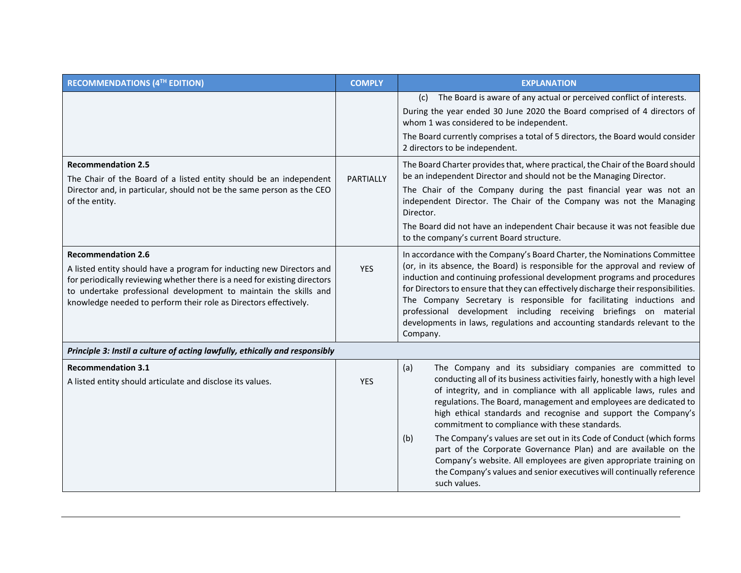| <b>RECOMMENDATIONS (4TH EDITION)</b>                                                                                                                                                                                                                                                       | <b>COMPLY</b> | <b>EXPLANATION</b>                                                                                                                                                                                                                                                                                                                                                                                                                                                                        |
|--------------------------------------------------------------------------------------------------------------------------------------------------------------------------------------------------------------------------------------------------------------------------------------------|---------------|-------------------------------------------------------------------------------------------------------------------------------------------------------------------------------------------------------------------------------------------------------------------------------------------------------------------------------------------------------------------------------------------------------------------------------------------------------------------------------------------|
|                                                                                                                                                                                                                                                                                            |               | The Board is aware of any actual or perceived conflict of interests.<br>(c)<br>During the year ended 30 June 2020 the Board comprised of 4 directors of                                                                                                                                                                                                                                                                                                                                   |
|                                                                                                                                                                                                                                                                                            |               | whom 1 was considered to be independent.                                                                                                                                                                                                                                                                                                                                                                                                                                                  |
|                                                                                                                                                                                                                                                                                            |               | The Board currently comprises a total of 5 directors, the Board would consider<br>2 directors to be independent.                                                                                                                                                                                                                                                                                                                                                                          |
| <b>Recommendation 2.5</b><br>The Chair of the Board of a listed entity should be an independent                                                                                                                                                                                            | PARTIALLY     | The Board Charter provides that, where practical, the Chair of the Board should<br>be an independent Director and should not be the Managing Director.                                                                                                                                                                                                                                                                                                                                    |
| Director and, in particular, should not be the same person as the CEO<br>of the entity.                                                                                                                                                                                                    |               | The Chair of the Company during the past financial year was not an<br>independent Director. The Chair of the Company was not the Managing<br>Director.                                                                                                                                                                                                                                                                                                                                    |
|                                                                                                                                                                                                                                                                                            |               | The Board did not have an independent Chair because it was not feasible due<br>to the company's current Board structure.                                                                                                                                                                                                                                                                                                                                                                  |
| <b>Recommendation 2.6</b>                                                                                                                                                                                                                                                                  |               | In accordance with the Company's Board Charter, the Nominations Committee                                                                                                                                                                                                                                                                                                                                                                                                                 |
| A listed entity should have a program for inducting new Directors and<br>for periodically reviewing whether there is a need for existing directors<br>to undertake professional development to maintain the skills and<br>knowledge needed to perform their role as Directors effectively. | <b>YES</b>    | (or, in its absence, the Board) is responsible for the approval and review of<br>induction and continuing professional development programs and procedures<br>for Directors to ensure that they can effectively discharge their responsibilities.<br>The Company Secretary is responsible for facilitating inductions and<br>professional development including receiving briefings on material<br>developments in laws, regulations and accounting standards relevant to the<br>Company. |
| Principle 3: Instil a culture of acting lawfully, ethically and responsibly                                                                                                                                                                                                                |               |                                                                                                                                                                                                                                                                                                                                                                                                                                                                                           |
| <b>Recommendation 3.1</b><br>A listed entity should articulate and disclose its values.                                                                                                                                                                                                    | <b>YES</b>    | (a)<br>The Company and its subsidiary companies are committed to<br>conducting all of its business activities fairly, honestly with a high level<br>of integrity, and in compliance with all applicable laws, rules and<br>regulations. The Board, management and employees are dedicated to<br>high ethical standards and recognise and support the Company's<br>commitment to compliance with these standards.                                                                          |
|                                                                                                                                                                                                                                                                                            |               | The Company's values are set out in its Code of Conduct (which forms<br>(b)<br>part of the Corporate Governance Plan) and are available on the<br>Company's website. All employees are given appropriate training on<br>the Company's values and senior executives will continually reference<br>such values.                                                                                                                                                                             |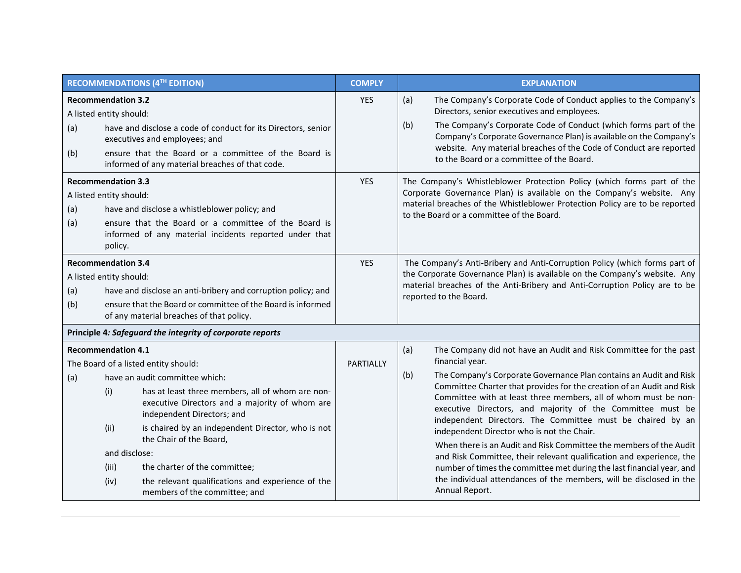|            |                                                                            | RECOMMENDATIONS (4TH EDITION)                                                                                                                                                                                                                                                                                                                                                                                     | <b>COMPLY</b> | <b>EXPLANATION</b>                                                                                                                                                                                                                                                                                                                                                                                                                                                                                                                                                                                                                                                                                                                                                                                             |  |
|------------|----------------------------------------------------------------------------|-------------------------------------------------------------------------------------------------------------------------------------------------------------------------------------------------------------------------------------------------------------------------------------------------------------------------------------------------------------------------------------------------------------------|---------------|----------------------------------------------------------------------------------------------------------------------------------------------------------------------------------------------------------------------------------------------------------------------------------------------------------------------------------------------------------------------------------------------------------------------------------------------------------------------------------------------------------------------------------------------------------------------------------------------------------------------------------------------------------------------------------------------------------------------------------------------------------------------------------------------------------------|--|
| (a)<br>(b) | <b>Recommendation 3.2</b><br>A listed entity should:                       | have and disclose a code of conduct for its Directors, senior<br>executives and employees; and<br>ensure that the Board or a committee of the Board is<br>informed of any material breaches of that code.                                                                                                                                                                                                         | <b>YES</b>    | The Company's Corporate Code of Conduct applies to the Company's<br>(a)<br>Directors, senior executives and employees.<br>The Company's Corporate Code of Conduct (which forms part of the<br>(b)<br>Company's Corporate Governance Plan) is available on the Company's<br>website. Any material breaches of the Code of Conduct are reported<br>to the Board or a committee of the Board.                                                                                                                                                                                                                                                                                                                                                                                                                     |  |
| (a)<br>(a) | <b>Recommendation 3.3</b><br>A listed entity should:<br>policy.            | have and disclose a whistleblower policy; and<br>ensure that the Board or a committee of the Board is<br>informed of any material incidents reported under that                                                                                                                                                                                                                                                   | <b>YES</b>    | The Company's Whistleblower Protection Policy (which forms part of the<br>Corporate Governance Plan) is available on the Company's website. Any<br>material breaches of the Whistleblower Protection Policy are to be reported<br>to the Board or a committee of the Board.                                                                                                                                                                                                                                                                                                                                                                                                                                                                                                                                    |  |
| (a)<br>(b) | <b>Recommendation 3.4</b><br>A listed entity should:                       | have and disclose an anti-bribery and corruption policy; and<br>ensure that the Board or committee of the Board is informed<br>of any material breaches of that policy.                                                                                                                                                                                                                                           | <b>YES</b>    | The Company's Anti-Bribery and Anti-Corruption Policy (which forms part of<br>the Corporate Governance Plan) is available on the Company's website. Any<br>material breaches of the Anti-Bribery and Anti-Corruption Policy are to be<br>reported to the Board.                                                                                                                                                                                                                                                                                                                                                                                                                                                                                                                                                |  |
|            |                                                                            | Principle 4: Safeguard the integrity of corporate reports                                                                                                                                                                                                                                                                                                                                                         |               |                                                                                                                                                                                                                                                                                                                                                                                                                                                                                                                                                                                                                                                                                                                                                                                                                |  |
| (a)        | <b>Recommendation 4.1</b><br>(i)<br>(ii)<br>and disclose:<br>(iii)<br>(iv) | The Board of a listed entity should:<br>have an audit committee which:<br>has at least three members, all of whom are non-<br>executive Directors and a majority of whom are<br>independent Directors; and<br>is chaired by an independent Director, who is not<br>the Chair of the Board,<br>the charter of the committee;<br>the relevant qualifications and experience of the<br>members of the committee; and | PARTIALLY     | The Company did not have an Audit and Risk Committee for the past<br>(a)<br>financial year.<br>The Company's Corporate Governance Plan contains an Audit and Risk<br>(b)<br>Committee Charter that provides for the creation of an Audit and Risk<br>Committee with at least three members, all of whom must be non-<br>executive Directors, and majority of the Committee must be<br>independent Directors. The Committee must be chaired by an<br>independent Director who is not the Chair.<br>When there is an Audit and Risk Committee the members of the Audit<br>and Risk Committee, their relevant qualification and experience, the<br>number of times the committee met during the last financial year, and<br>the individual attendances of the members, will be disclosed in the<br>Annual Report. |  |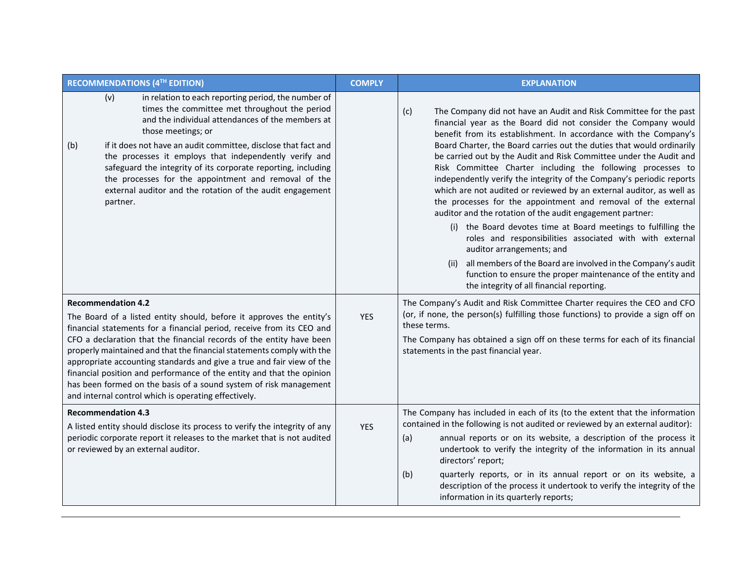| RECOMMENDATIONS (4TH EDITION)                                                                                                                                                                                                                                                                                                                                                                                                                                                                                                                                                                              | <b>COMPLY</b> | <b>EXPLANATION</b>                                                                                                                                                                                                                                                                                                                                                                                                                                                                                                                                                                                                                                                                                                                                                                                                                                                                                                                                                                                                                                     |
|------------------------------------------------------------------------------------------------------------------------------------------------------------------------------------------------------------------------------------------------------------------------------------------------------------------------------------------------------------------------------------------------------------------------------------------------------------------------------------------------------------------------------------------------------------------------------------------------------------|---------------|--------------------------------------------------------------------------------------------------------------------------------------------------------------------------------------------------------------------------------------------------------------------------------------------------------------------------------------------------------------------------------------------------------------------------------------------------------------------------------------------------------------------------------------------------------------------------------------------------------------------------------------------------------------------------------------------------------------------------------------------------------------------------------------------------------------------------------------------------------------------------------------------------------------------------------------------------------------------------------------------------------------------------------------------------------|
| in relation to each reporting period, the number of<br>(v)<br>times the committee met throughout the period<br>and the individual attendances of the members at<br>those meetings; or<br>if it does not have an audit committee, disclose that fact and<br>(b)<br>the processes it employs that independently verify and<br>safeguard the integrity of its corporate reporting, including<br>the processes for the appointment and removal of the<br>external auditor and the rotation of the audit engagement<br>partner.                                                                                 |               | The Company did not have an Audit and Risk Committee for the past<br>(c)<br>financial year as the Board did not consider the Company would<br>benefit from its establishment. In accordance with the Company's<br>Board Charter, the Board carries out the duties that would ordinarily<br>be carried out by the Audit and Risk Committee under the Audit and<br>Risk Committee Charter including the following processes to<br>independently verify the integrity of the Company's periodic reports<br>which are not audited or reviewed by an external auditor, as well as<br>the processes for the appointment and removal of the external<br>auditor and the rotation of the audit engagement partner:<br>(i) the Board devotes time at Board meetings to fulfilling the<br>roles and responsibilities associated with with external<br>auditor arrangements; and<br>(ii) all members of the Board are involved in the Company's audit<br>function to ensure the proper maintenance of the entity and<br>the integrity of all financial reporting. |
| <b>Recommendation 4.2</b><br>The Board of a listed entity should, before it approves the entity's<br>financial statements for a financial period, receive from its CEO and<br>CFO a declaration that the financial records of the entity have been<br>properly maintained and that the financial statements comply with the<br>appropriate accounting standards and give a true and fair view of the<br>financial position and performance of the entity and that the opinion<br>has been formed on the basis of a sound system of risk management<br>and internal control which is operating effectively. | <b>YES</b>    | The Company's Audit and Risk Committee Charter requires the CEO and CFO<br>(or, if none, the person(s) fulfilling those functions) to provide a sign off on<br>these terms.<br>The Company has obtained a sign off on these terms for each of its financial<br>statements in the past financial year.                                                                                                                                                                                                                                                                                                                                                                                                                                                                                                                                                                                                                                                                                                                                                  |
| <b>Recommendation 4.3</b><br>A listed entity should disclose its process to verify the integrity of any<br>periodic corporate report it releases to the market that is not audited<br>or reviewed by an external auditor.                                                                                                                                                                                                                                                                                                                                                                                  | <b>YES</b>    | The Company has included in each of its (to the extent that the information<br>contained in the following is not audited or reviewed by an external auditor):<br>annual reports or on its website, a description of the process it<br>(a)<br>undertook to verify the integrity of the information in its annual<br>directors' report;<br>quarterly reports, or in its annual report or on its website, a<br>(b)<br>description of the process it undertook to verify the integrity of the<br>information in its quarterly reports;                                                                                                                                                                                                                                                                                                                                                                                                                                                                                                                     |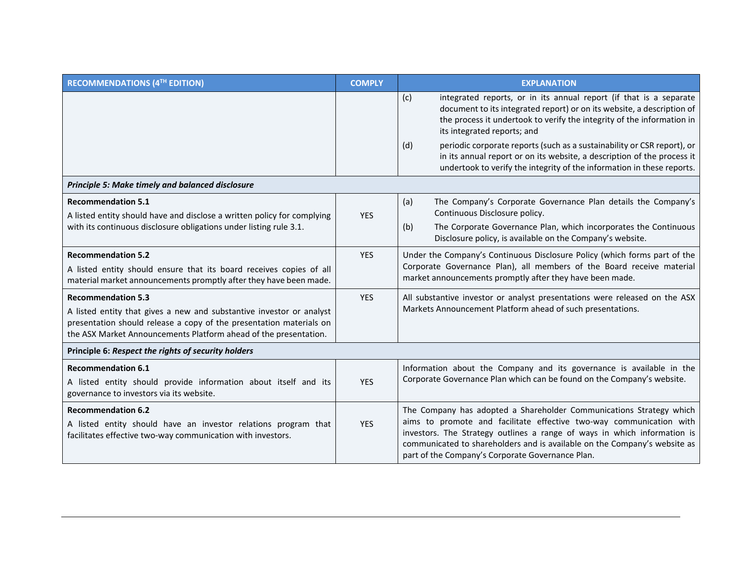| RECOMMENDATIONS (4TH EDITION)                                                                                                                                                                                                                | <b>COMPLY</b> | <b>EXPLANATION</b>                                                                                                                                                                                                                                                                                                                                                                                                                                                                                  |
|----------------------------------------------------------------------------------------------------------------------------------------------------------------------------------------------------------------------------------------------|---------------|-----------------------------------------------------------------------------------------------------------------------------------------------------------------------------------------------------------------------------------------------------------------------------------------------------------------------------------------------------------------------------------------------------------------------------------------------------------------------------------------------------|
|                                                                                                                                                                                                                                              |               | integrated reports, or in its annual report (if that is a separate<br>(c)<br>document to its integrated report) or on its website, a description of<br>the process it undertook to verify the integrity of the information in<br>its integrated reports; and<br>periodic corporate reports (such as a sustainability or CSR report), or<br>(d)<br>in its annual report or on its website, a description of the process it<br>undertook to verify the integrity of the information in these reports. |
| Principle 5: Make timely and balanced disclosure                                                                                                                                                                                             |               |                                                                                                                                                                                                                                                                                                                                                                                                                                                                                                     |
| <b>Recommendation 5.1</b><br>A listed entity should have and disclose a written policy for complying<br>with its continuous disclosure obligations under listing rule 3.1.                                                                   | <b>YES</b>    | The Company's Corporate Governance Plan details the Company's<br>(a)<br>Continuous Disclosure policy.<br>The Corporate Governance Plan, which incorporates the Continuous<br>(b)<br>Disclosure policy, is available on the Company's website.                                                                                                                                                                                                                                                       |
| <b>Recommendation 5.2</b><br>A listed entity should ensure that its board receives copies of all<br>material market announcements promptly after they have been made.                                                                        | <b>YES</b>    | Under the Company's Continuous Disclosure Policy (which forms part of the<br>Corporate Governance Plan), all members of the Board receive material<br>market announcements promptly after they have been made.                                                                                                                                                                                                                                                                                      |
| <b>Recommendation 5.3</b><br>A listed entity that gives a new and substantive investor or analyst<br>presentation should release a copy of the presentation materials on<br>the ASX Market Announcements Platform ahead of the presentation. | <b>YES</b>    | All substantive investor or analyst presentations were released on the ASX<br>Markets Announcement Platform ahead of such presentations.                                                                                                                                                                                                                                                                                                                                                            |
| Principle 6: Respect the rights of security holders                                                                                                                                                                                          |               |                                                                                                                                                                                                                                                                                                                                                                                                                                                                                                     |
| <b>Recommendation 6.1</b><br>A listed entity should provide information about itself and its<br>governance to investors via its website.                                                                                                     | <b>YES</b>    | Information about the Company and its governance is available in the<br>Corporate Governance Plan which can be found on the Company's website.                                                                                                                                                                                                                                                                                                                                                      |
| <b>Recommendation 6.2</b><br>A listed entity should have an investor relations program that<br>facilitates effective two-way communication with investors.                                                                                   | <b>YES</b>    | The Company has adopted a Shareholder Communications Strategy which<br>aims to promote and facilitate effective two-way communication with<br>investors. The Strategy outlines a range of ways in which information is<br>communicated to shareholders and is available on the Company's website as<br>part of the Company's Corporate Governance Plan.                                                                                                                                             |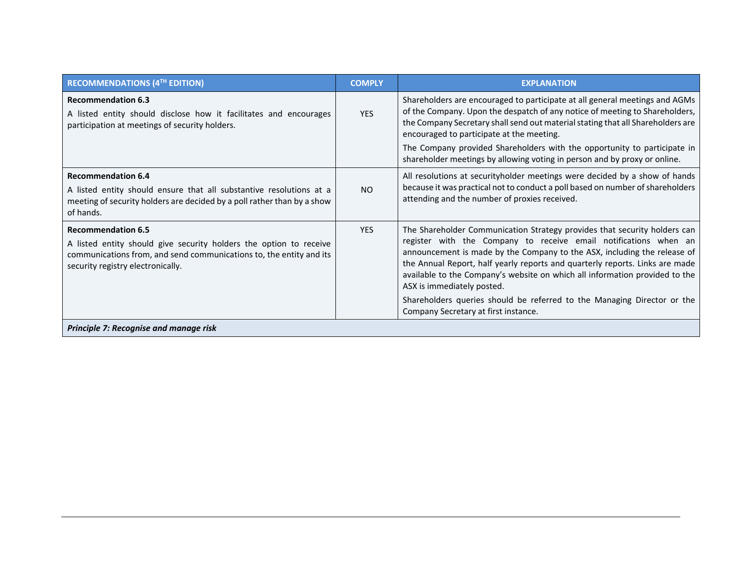| <b>RECOMMENDATIONS (4TH EDITION)</b>                                                                                                                                                                        | <b>COMPLY</b> | <b>EXPLANATION</b>                                                                                                                                                                                                                                                                                                                                                                                                                                                                                                                        |  |
|-------------------------------------------------------------------------------------------------------------------------------------------------------------------------------------------------------------|---------------|-------------------------------------------------------------------------------------------------------------------------------------------------------------------------------------------------------------------------------------------------------------------------------------------------------------------------------------------------------------------------------------------------------------------------------------------------------------------------------------------------------------------------------------------|--|
| <b>Recommendation 6.3</b><br>A listed entity should disclose how it facilitates and encourages<br>participation at meetings of security holders.                                                            | <b>YES</b>    | Shareholders are encouraged to participate at all general meetings and AGMs<br>of the Company. Upon the despatch of any notice of meeting to Shareholders,<br>the Company Secretary shall send out material stating that all Shareholders are<br>encouraged to participate at the meeting.<br>The Company provided Shareholders with the opportunity to participate in<br>shareholder meetings by allowing voting in person and by proxy or online.                                                                                       |  |
| <b>Recommendation 6.4</b><br>A listed entity should ensure that all substantive resolutions at a<br>meeting of security holders are decided by a poll rather than by a show<br>of hands.                    | <b>NO</b>     | All resolutions at security holder meetings were decided by a show of hands<br>because it was practical not to conduct a poll based on number of shareholders<br>attending and the number of proxies received.                                                                                                                                                                                                                                                                                                                            |  |
| <b>Recommendation 6.5</b><br>A listed entity should give security holders the option to receive<br>communications from, and send communications to, the entity and its<br>security registry electronically. | <b>YES</b>    | The Shareholder Communication Strategy provides that security holders can<br>register with the Company to receive email notifications when an<br>announcement is made by the Company to the ASX, including the release of<br>the Annual Report, half yearly reports and quarterly reports. Links are made<br>available to the Company's website on which all information provided to the<br>ASX is immediately posted.<br>Shareholders queries should be referred to the Managing Director or the<br>Company Secretary at first instance. |  |
| Principle 7: Recognise and manage risk                                                                                                                                                                      |               |                                                                                                                                                                                                                                                                                                                                                                                                                                                                                                                                           |  |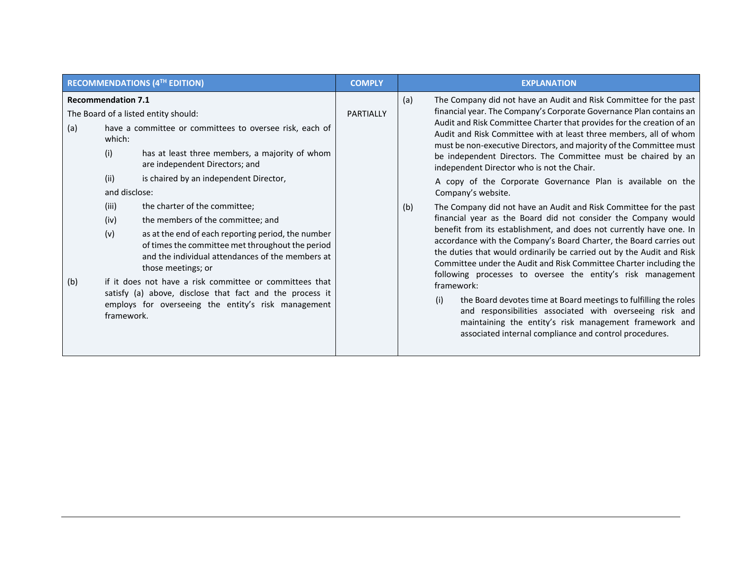|                                                                                          | RECOMMENDATIONS (4TH EDITION)                                                                                                                                                                                                                                                                                                                                                                                                                                                                                                                                                                                                                                                                        | <b>COMPLY</b> | <b>EXPLANATION</b>                                                                                                                                                                                                                                                                                                                                                                                                                                                                                                                                                                                                                                                                                                                                                                                                                                                                                                                                                                                                                                                                                                                                                                                                                                                                                                                                         |
|------------------------------------------------------------------------------------------|------------------------------------------------------------------------------------------------------------------------------------------------------------------------------------------------------------------------------------------------------------------------------------------------------------------------------------------------------------------------------------------------------------------------------------------------------------------------------------------------------------------------------------------------------------------------------------------------------------------------------------------------------------------------------------------------------|---------------|------------------------------------------------------------------------------------------------------------------------------------------------------------------------------------------------------------------------------------------------------------------------------------------------------------------------------------------------------------------------------------------------------------------------------------------------------------------------------------------------------------------------------------------------------------------------------------------------------------------------------------------------------------------------------------------------------------------------------------------------------------------------------------------------------------------------------------------------------------------------------------------------------------------------------------------------------------------------------------------------------------------------------------------------------------------------------------------------------------------------------------------------------------------------------------------------------------------------------------------------------------------------------------------------------------------------------------------------------------|
| <b>Recommendation 7.1</b><br>(a)<br>which:<br>(i)<br>(ii)<br>(iii)<br>(iv)<br>(v)<br>(b) | The Board of a listed entity should:<br>have a committee or committees to oversee risk, each of<br>has at least three members, a majority of whom<br>are independent Directors; and<br>is chaired by an independent Director,<br>and disclose:<br>the charter of the committee;<br>the members of the committee; and<br>as at the end of each reporting period, the number<br>of times the committee met throughout the period<br>and the individual attendances of the members at<br>those meetings; or<br>if it does not have a risk committee or committees that<br>satisfy (a) above, disclose that fact and the process it<br>employs for overseeing the entity's risk management<br>framework. | PARTIALLY     | The Company did not have an Audit and Risk Committee for the past<br>(a)<br>financial year. The Company's Corporate Governance Plan contains an<br>Audit and Risk Committee Charter that provides for the creation of an<br>Audit and Risk Committee with at least three members, all of whom<br>must be non-executive Directors, and majority of the Committee must<br>be independent Directors. The Committee must be chaired by an<br>independent Director who is not the Chair.<br>A copy of the Corporate Governance Plan is available on the<br>Company's website.<br>The Company did not have an Audit and Risk Committee for the past<br>(b)<br>financial year as the Board did not consider the Company would<br>benefit from its establishment, and does not currently have one. In<br>accordance with the Company's Board Charter, the Board carries out<br>the duties that would ordinarily be carried out by the Audit and Risk<br>Committee under the Audit and Risk Committee Charter including the<br>following processes to oversee the entity's risk management<br>framework:<br>the Board devotes time at Board meetings to fulfilling the roles<br>(i)<br>and responsibilities associated with overseeing risk and<br>maintaining the entity's risk management framework and<br>associated internal compliance and control procedures. |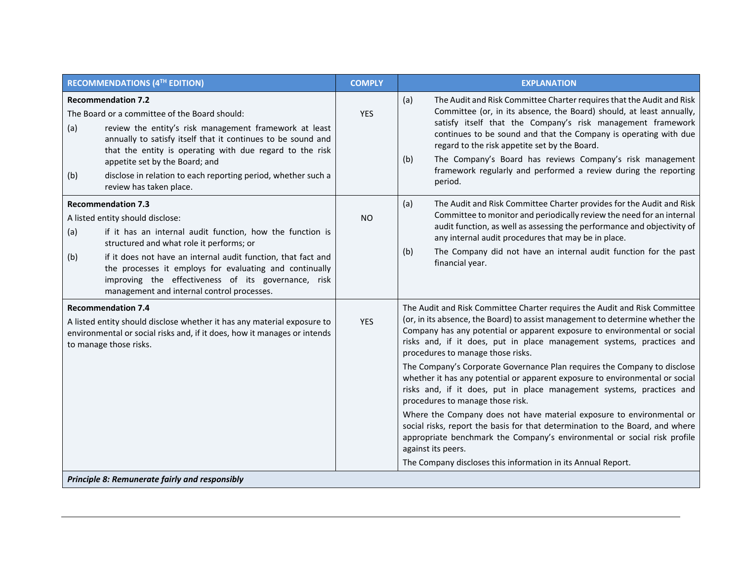|                                                | <b>RECOMMENDATIONS (4TH EDITION)</b>                                                                                                                                                                                                                                                                                                                                                                    | <b>COMPLY</b> | <b>EXPLANATION</b>                                                                                                                                                                                                                                                                                                                                                                                                                                                                                                                                                                                                                                                                                                                                                                                                                                                                                                                                          |  |
|------------------------------------------------|---------------------------------------------------------------------------------------------------------------------------------------------------------------------------------------------------------------------------------------------------------------------------------------------------------------------------------------------------------------------------------------------------------|---------------|-------------------------------------------------------------------------------------------------------------------------------------------------------------------------------------------------------------------------------------------------------------------------------------------------------------------------------------------------------------------------------------------------------------------------------------------------------------------------------------------------------------------------------------------------------------------------------------------------------------------------------------------------------------------------------------------------------------------------------------------------------------------------------------------------------------------------------------------------------------------------------------------------------------------------------------------------------------|--|
| (a)<br>(b)                                     | <b>Recommendation 7.2</b><br>The Board or a committee of the Board should:<br>review the entity's risk management framework at least<br>annually to satisfy itself that it continues to be sound and<br>that the entity is operating with due regard to the risk<br>appetite set by the Board; and<br>disclose in relation to each reporting period, whether such a<br>review has taken place.          | <b>YES</b>    | (a)<br>The Audit and Risk Committee Charter requires that the Audit and Risk<br>Committee (or, in its absence, the Board) should, at least annually,<br>satisfy itself that the Company's risk management framework<br>continues to be sound and that the Company is operating with due<br>regard to the risk appetite set by the Board.<br>The Company's Board has reviews Company's risk management<br>(b)<br>framework regularly and performed a review during the reporting<br>period.                                                                                                                                                                                                                                                                                                                                                                                                                                                                  |  |
| (a)<br>(b)                                     | <b>Recommendation 7.3</b><br>A listed entity should disclose:<br>if it has an internal audit function, how the function is<br>structured and what role it performs; or<br>if it does not have an internal audit function, that fact and<br>the processes it employs for evaluating and continually<br>improving the effectiveness of its governance, risk<br>management and internal control processes. | <b>NO</b>     | The Audit and Risk Committee Charter provides for the Audit and Risk<br>(a)<br>Committee to monitor and periodically review the need for an internal<br>audit function, as well as assessing the performance and objectivity of<br>any internal audit procedures that may be in place.<br>The Company did not have an internal audit function for the past<br>(b)<br>financial year.                                                                                                                                                                                                                                                                                                                                                                                                                                                                                                                                                                        |  |
|                                                | <b>Recommendation 7.4</b><br>A listed entity should disclose whether it has any material exposure to<br>environmental or social risks and, if it does, how it manages or intends<br>to manage those risks.                                                                                                                                                                                              | <b>YES</b>    | The Audit and Risk Committee Charter requires the Audit and Risk Committee<br>(or, in its absence, the Board) to assist management to determine whether the<br>Company has any potential or apparent exposure to environmental or social<br>risks and, if it does, put in place management systems, practices and<br>procedures to manage those risks.<br>The Company's Corporate Governance Plan requires the Company to disclose<br>whether it has any potential or apparent exposure to environmental or social<br>risks and, if it does, put in place management systems, practices and<br>procedures to manage those risk.<br>Where the Company does not have material exposure to environmental or<br>social risks, report the basis for that determination to the Board, and where<br>appropriate benchmark the Company's environmental or social risk profile<br>against its peers.<br>The Company discloses this information in its Annual Report. |  |
| Principle 8: Remunerate fairly and responsibly |                                                                                                                                                                                                                                                                                                                                                                                                         |               |                                                                                                                                                                                                                                                                                                                                                                                                                                                                                                                                                                                                                                                                                                                                                                                                                                                                                                                                                             |  |